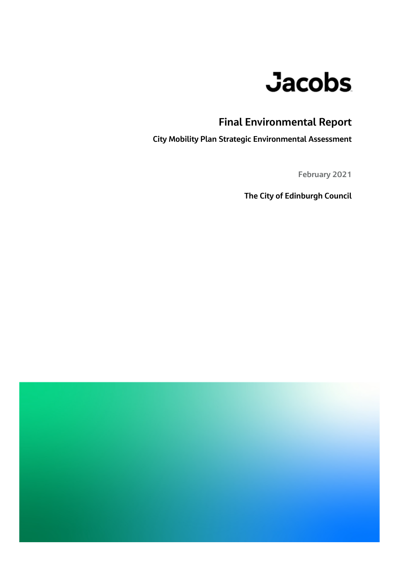# **Jacobs**

## **Final Environmental Report**

**City Mobility Plan Strategic Environmental Assessment**

**February 2021**

**The City of Edinburgh Council**

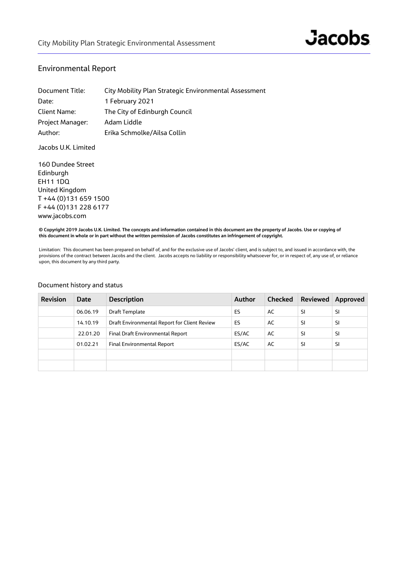#### Environmental Report

| Document Title:  | City Mobility Plan Strategic Environmental Assessment |
|------------------|-------------------------------------------------------|
| Date:            | 1 February 2021                                       |
| Client Name:     | The City of Edinburgh Council                         |
| Project Manager: | Adam Liddle                                           |
| Author:          | Erika Schmolke/Ailsa Collin                           |

Jacobs U.K. Limited

160 Dundee Street Edinburgh EH11 1DQ United Kingdom T +44 (0)131 659 1500 F +44 (0)131 228 6177 www.jacobs.com

**© Copyright 2019 Jacobs U.K. Limited. The concepts and information contained in this document are the property of Jacobs. Use or copying of this document in whole or in part without the written permission of Jacobs constitutes an infringement of copyright.**

Limitation: This document has been prepared on behalf of, and for the exclusive use of Jacobs' client, and is subject to, and issued in accordance with, the provisions of the contract between Jacobs and the client. Jacobs accepts no liability or responsibility whatsoever for, or in respect of, any use of, or reliance upon, this document by any third party.

| <b>Revision</b> | <b>Date</b> | <b>Description</b>                           | <b>Author</b> | <b>Checked</b> | <b>Reviewed</b> | Approved |
|-----------------|-------------|----------------------------------------------|---------------|----------------|-----------------|----------|
|                 | 06.06.19    | Draft Template                               | ES            | AC             | SI              | SI       |
|                 | 14.10.19    | Draft Environmental Report for Client Review | ES            | AC             | SI              | SI       |
|                 | 22.01.20    | Final Draft Environmental Report             | ES/AC         | AC             | <sup>SI</sup>   | SI       |
|                 | 01.02.21    | <b>Final Environmental Report</b>            | ES/AC         | AC             | SI              | SI       |
|                 |             |                                              |               |                |                 |          |
|                 |             |                                              |               |                |                 |          |

#### Document history and status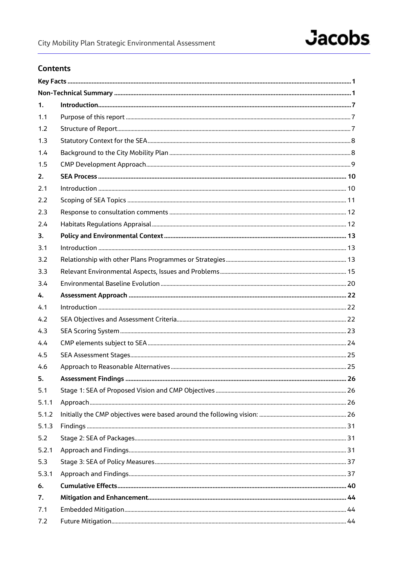## **Jacobs**

## **Contents**

| 1.    |  |
|-------|--|
| 1.1   |  |
| 1.2   |  |
| 1.3   |  |
| 1.4   |  |
| 1.5   |  |
| 2.    |  |
| 2.1   |  |
| 2.2   |  |
| 2.3   |  |
| 2.4   |  |
| 3.    |  |
| 3.1   |  |
| 3.2   |  |
| 3.3   |  |
| 3.4   |  |
| 4.    |  |
| 4.1   |  |
| 4.2   |  |
| 4.3   |  |
| 4.4   |  |
| 4.5   |  |
| 4.6   |  |
| 5.    |  |
| 5.1   |  |
| 5.1.1 |  |
| 5.1.2 |  |
| 5.1.3 |  |
| 5.2   |  |
| 5.2.1 |  |
| 5.3   |  |
| 5.3.1 |  |
| 6.    |  |
| 7.    |  |
| 7.1   |  |
| 7.2   |  |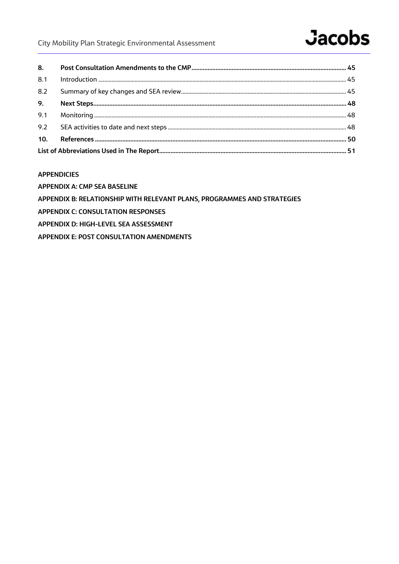## City Mobility Plan Strategic Environmental Assessment

## **Jacobs**

| 8.1 |  |
|-----|--|
| 8.2 |  |
| 9.  |  |
| 9.1 |  |
| 9.2 |  |
| 10. |  |
|     |  |

#### **APPENDICIES**

**APPENDIX A: CMP SEA BASELINE** 

APPENDIX B: RELATIONSHIP WITH RELEVANT PLANS, PROGRAMMES AND STRATEGIES

**APPENDIX C: CONSULTATION RESPONSES** 

APPENDIX D: HIGH-LEVEL SEA ASSESSMENT

APPENDIX E: POST CONSULTATION AMENDMENTS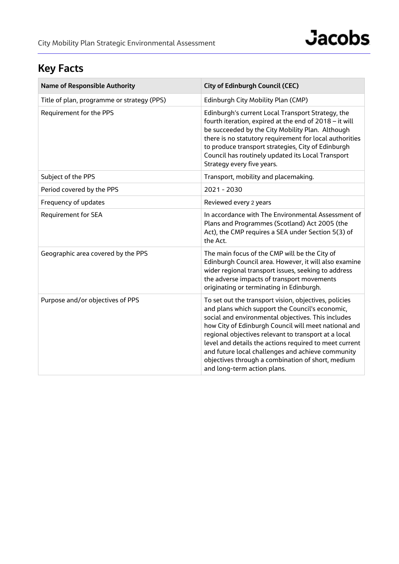## **Key Facts**

| <b>Name of Responsible Authority</b>       | <b>City of Edinburgh Council (CEC)</b>                                                                                                                                                                                                                                                                                                                                                                                                                                            |
|--------------------------------------------|-----------------------------------------------------------------------------------------------------------------------------------------------------------------------------------------------------------------------------------------------------------------------------------------------------------------------------------------------------------------------------------------------------------------------------------------------------------------------------------|
| Title of plan, programme or strategy (PPS) | Edinburgh City Mobility Plan (CMP)                                                                                                                                                                                                                                                                                                                                                                                                                                                |
| Requirement for the PPS                    | Edinburgh's current Local Transport Strategy, the<br>fourth iteration, expired at the end of 2018 - it will<br>be succeeded by the City Mobility Plan. Although<br>there is no statutory requirement for local authorities<br>to produce transport strategies, City of Edinburgh<br>Council has routinely updated its Local Transport<br>Strategy every five years.                                                                                                               |
| Subject of the PPS                         | Transport, mobility and placemaking.                                                                                                                                                                                                                                                                                                                                                                                                                                              |
| Period covered by the PPS                  | 2021 - 2030                                                                                                                                                                                                                                                                                                                                                                                                                                                                       |
| Frequency of updates                       | Reviewed every 2 years                                                                                                                                                                                                                                                                                                                                                                                                                                                            |
| <b>Requirement for SEA</b>                 | In accordance with The Environmental Assessment of<br>Plans and Programmes (Scotland) Act 2005 (the<br>Act), the CMP requires a SEA under Section 5(3) of<br>the Act.                                                                                                                                                                                                                                                                                                             |
| Geographic area covered by the PPS         | The main focus of the CMP will be the City of<br>Edinburgh Council area. However, it will also examine<br>wider regional transport issues, seeking to address<br>the adverse impacts of transport movements<br>originating or terminating in Edinburgh.                                                                                                                                                                                                                           |
| Purpose and/or objectives of PPS           | To set out the transport vision, objectives, policies<br>and plans which support the Council's economic,<br>social and environmental objectives. This includes<br>how City of Edinburgh Council will meet national and<br>regional objectives relevant to transport at a local<br>level and details the actions required to meet current<br>and future local challenges and achieve community<br>objectives through a combination of short, medium<br>and long-term action plans. |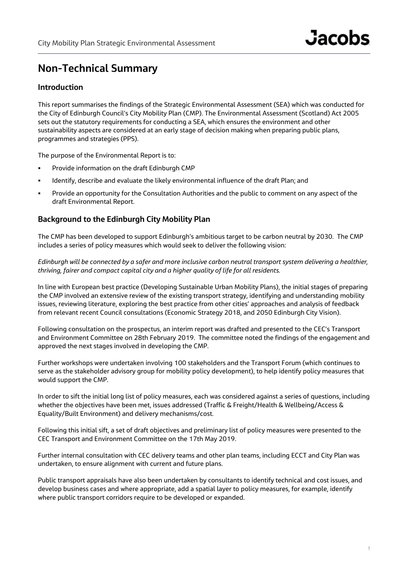## **Non-Technical Summary**

## **Introduction**

This report summarises the findings of the Strategic Environmental Assessment (SEA) which was conducted for the City of Edinburgh Council's City Mobility Plan (CMP). The Environmental Assessment (Scotland) Act 2005 sets out the statutory requirements for conducting a SEA, which ensures the environment and other sustainability aspects are considered at an early stage of decision making when preparing public plans, programmes and strategies (PPS).

The purpose of the Environmental Report is to:

- Provide information on the draft Edinburgh CMP
- Identify, describe and evaluate the likely environmental influence of the draft Plan; and
- Provide an opportunity for the Consultation Authorities and the public to comment on any aspect of the draft Environmental Report.

### **Background to the Edinburgh City Mobility Plan**

The CMP has been developed to support Edinburgh's ambitious target to be carbon neutral by 2030. The CMP includes a series of policy measures which would seek to deliver the following vision:

*Edinburgh will be connected by a safer and more inclusive carbon neutral transport system delivering a healthier, thriving, fairer and compact capital city and a higher quality of life for all residents.*

In line with European best practice (Developing Sustainable Urban Mobility Plans), the initial stages of preparing the CMP involved an extensive review of the existing transport strategy, identifying and understanding mobility issues, reviewing literature, exploring the best practice from other cities' approaches and analysis of feedback from relevant recent Council consultations (Economic Strategy 2018, and 2050 Edinburgh City Vision).

Following consultation on the prospectus, an interim report was drafted and presented to the CEC's Transport and Environment Committee on 28th February 2019. The committee noted the findings of the engagement and approved the next stages involved in developing the CMP.

Further workshops were undertaken involving 100 stakeholders and the Transport Forum (which continues to serve as the stakeholder advisory group for mobility policy development), to help identify policy measures that would support the CMP.

In order to sift the initial long list of policy measures, each was considered against a series of questions, including whether the objectives have been met, issues addressed (Traffic & Freight/Health & Wellbeing/Access & Equality/Built Environment) and delivery mechanisms/cost.

Following this initial sift, a set of draft objectives and preliminary list of policy measures were presented to the CEC Transport and Environment Committee on the 17th May 2019.

Further internal consultation with CEC delivery teams and other plan teams, including ECCT and City Plan was undertaken, to ensure alignment with current and future plans.

Public transport appraisals have also been undertaken by consultants to identify technical and cost issues, and develop business cases and where appropriate, add a spatial layer to policy measures, for example, identify where public transport corridors require to be developed or expanded.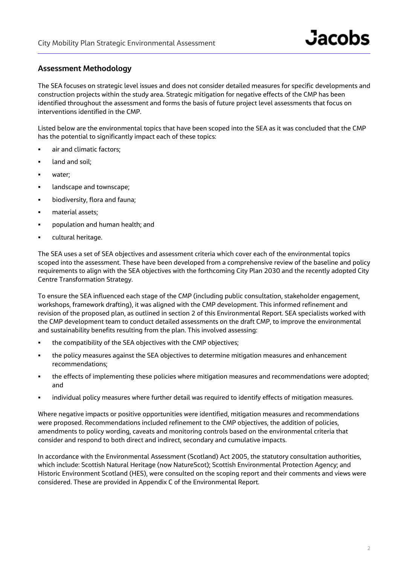### **Assessment Methodology**

The SEA focuses on strategic level issues and does not consider detailed measures for specific developments and construction projects within the study area. Strategic mitigation for negative effects of the CMP has been identified throughout the assessment and forms the basis of future project level assessments that focus on interventions identified in the CMP.

Listed below are the environmental topics that have been scoped into the SEA as it was concluded that the CMP has the potential to significantly impact each of these topics:

- **air and climatic factors:**
- **a** land and soil;
- water;
- **Independent** townscape;
- **•** biodiversity, flora and fauna;
- material assets;
- **Propulation and human health; and**
- **·** cultural heritage.

The SEA uses a set of SEA objectives and assessment criteria which cover each of the environmental topics scoped into the assessment. These have been developed from a comprehensive review of the baseline and policy requirements to align with the SEA objectives with the forthcoming City Plan 2030 and the recently adopted City Centre Transformation Strategy.

To ensure the SEA influenced each stage of the CMP (including public consultation, stakeholder engagement, workshops, framework drafting), it was aligned with the CMP development. This informed refinement and revision of the proposed plan, as outlined in section 2 of this Environmental Report. SEA specialists worked with the CMP development team to conduct detailed assessments on the draft CMP, to improve the environmental and sustainability benefits resulting from the plan. This involved assessing:

- the compatibility of the SEA objectives with the CMP objectives;
- the policy measures against the SEA objectives to determine mitigation measures and enhancement recommendations;
- the effects of implementing these policies where mitigation measures and recommendations were adopted; and
- individual policy measures where further detail was required to identify effects of mitigation measures.

Where negative impacts or positive opportunities were identified, mitigation measures and recommendations were proposed. Recommendations included refinement to the CMP objectives, the addition of policies, amendments to policy wording, caveats and monitoring controls based on the environmental criteria that consider and respond to both direct and indirect, secondary and cumulative impacts.

In accordance with the Environmental Assessment (Scotland) Act 2005, the statutory consultation authorities, which include: Scottish Natural Heritage (now NatureScot); Scottish Environmental Protection Agency; and Historic Environment Scotland (HES), were consulted on the scoping report and their comments and views were considered. These are provided in Appendix C of the Environmental Report.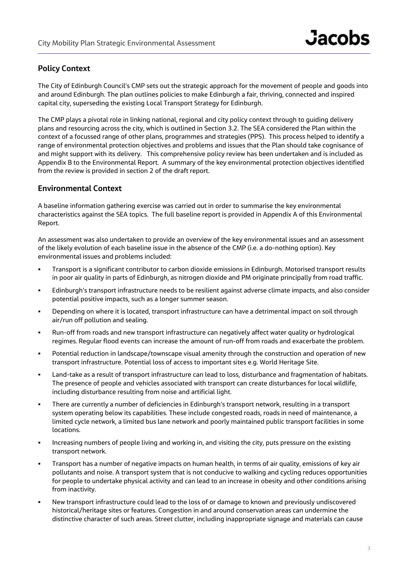## **Policy Context**

The City of Edinburgh Council's CMP sets out the strategic approach for the movement of people and goods into and around Edinburgh. The plan outlines policies to make Edinburgh a fair, thriving, connected and inspired capital city, superseding the existing Local Transport Strategy for Edinburgh.

The CMP plays a pivotal role in linking national, regional and city policy context through to guiding delivery plans and resourcing across the city, which is outlined in Section 3.2. The SEA considered the Plan within the context of a focussed range of other plans, programmes and strategies (PPS). This process helped to identify a range of environmental protection objectives and problems and issues that the Plan should take cognisance of and might support with its delivery. This comprehensive policy review has been undertaken and is included as Appendix B to the Environmental Report. A summary of the key environmental protection objectives identified from the review is provided in section 2 of the draft report.

### **Environmental Context**

A baseline information gathering exercise was carried out in order to summarise the key environmental characteristics against the SEA topics. The full baseline report is provided in Appendix A of this Environmental Report.

An assessment was also undertaken to provide an overview of the key environmental issues and an assessment of the likely evolution of each baseline issue in the absence of the CMP (i.e. a do-nothing option). Key environmental issues and problems included:

- Transport is a significant contributor to carbon dioxide emissions in Edinburgh. Motorised transport results in poor air quality in parts of Edinburgh, as nitrogen dioxide and PM originate principally from road traffic.
- Edinburgh's transport infrastructure needs to be resilient against adverse climate impacts, and also consider potential positive impacts, such as a longer summer season.
- Depending on where it is located, transport infrastructure can have a detrimental impact on soil through air/run off pollution and sealing.
- Run-off from roads and new transport infrastructure can negatively affect water quality or hydrological regimes. Regular flood events can increase the amount of run-off from roads and exacerbate the problem.
- Potential reduction in landscape/townscape visual amenity through the construction and operation of new transport infrastructure. Potential loss of access to important sites e.g. World Heritage Site.
- Land-take as a result of transport infrastructure can lead to loss, disturbance and fragmentation of habitats. The presence of people and vehicles associated with transport can create disturbances for local wildlife, including disturbance resulting from noise and artificial light.
- There are currently a number of deficiencies in Edinburgh's transport network, resulting in a transport system operating below its capabilities. These include congested roads, roads in need of maintenance, a limited cycle network, a limited bus lane network and poorly maintained public transport facilities in some locations.
- Increasing numbers of people living and working in, and visiting the city, puts pressure on the existing transport network.
- Transport has a number of negative impacts on human health, in terms of air quality, emissions of key air pollutants and noise. A transport system that is not conducive to walking and cycling reduces opportunities for people to undertake physical activity and can lead to an increase in obesity and other conditions arising from inactivity.
- New transport infrastructure could lead to the loss of or damage to known and previously undiscovered historical/heritage sites or features. Congestion in and around conservation areas can undermine the distinctive character of such areas. Street clutter, including inappropriate signage and materials can cause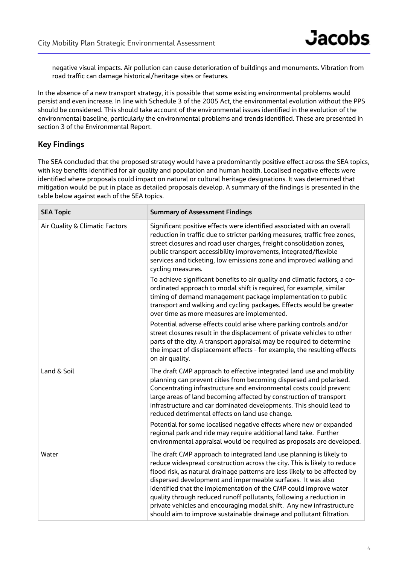negative visual impacts. Air pollution can cause deterioration of buildings and monuments. Vibration from road traffic can damage historical/heritage sites or features.

In the absence of a new transport strategy, it is possible that some existing environmental problems would persist and even increase. In line with Schedule 3 of the 2005 Act, the environmental evolution without the PPS should be considered. This should take account of the environmental issues identified in the evolution of the environmental baseline, particularly the environmental problems and trends identified. These are presented in section 3 of the Environmental Report.

## **Key Findings**

The SEA concluded that the proposed strategy would have a predominantly positive effect across the SEA topics, with key benefits identified for air quality and population and human health. Localised negative effects were identified where proposals could impact on natural or cultural heritage designations. It was determined that mitigation would be put in place as detailed proposals develop. A summary of the findings is presented in the table below against each of the SEA topics.

| <b>SEA Topic</b>               | <b>Summary of Assessment Findings</b>                                                                                                                                                                                                                                                                                                                                                                                                                                                                                                                                                    |
|--------------------------------|------------------------------------------------------------------------------------------------------------------------------------------------------------------------------------------------------------------------------------------------------------------------------------------------------------------------------------------------------------------------------------------------------------------------------------------------------------------------------------------------------------------------------------------------------------------------------------------|
| Air Quality & Climatic Factors | Significant positive effects were identified associated with an overall<br>reduction in traffic due to stricter parking measures, traffic free zones,<br>street closures and road user charges, freight consolidation zones,<br>public transport accessibility improvements, integrated/flexible<br>services and ticketing, low emissions zone and improved walking and<br>cycling measures.                                                                                                                                                                                             |
|                                | To achieve significant benefits to air quality and climatic factors, a co-<br>ordinated approach to modal shift is required, for example, similar<br>timing of demand management package implementation to public<br>transport and walking and cycling packages. Effects would be greater<br>over time as more measures are implemented.                                                                                                                                                                                                                                                 |
|                                | Potential adverse effects could arise where parking controls and/or<br>street closures result in the displacement of private vehicles to other<br>parts of the city. A transport appraisal may be required to determine<br>the impact of displacement effects - for example, the resulting effects<br>on air quality.                                                                                                                                                                                                                                                                    |
| Land & Soil                    | The draft CMP approach to effective integrated land use and mobility<br>planning can prevent cities from becoming dispersed and polarised.<br>Concentrating infrastructure and environmental costs could prevent<br>large areas of land becoming affected by construction of transport<br>infrastructure and car dominated developments. This should lead to<br>reduced detrimental effects on land use change.                                                                                                                                                                          |
|                                | Potential for some localised negative effects where new or expanded<br>regional park and ride may require additional land take. Further<br>environmental appraisal would be required as proposals are developed.                                                                                                                                                                                                                                                                                                                                                                         |
| Water                          | The draft CMP approach to integrated land use planning is likely to<br>reduce widespread construction across the city. This is likely to reduce<br>flood risk, as natural drainage patterns are less likely to be affected by<br>dispersed development and impermeable surfaces. It was also<br>identified that the implementation of the CMP could improve water<br>quality through reduced runoff pollutants, following a reduction in<br>private vehicles and encouraging modal shift. Any new infrastructure<br>should aim to improve sustainable drainage and pollutant filtration. |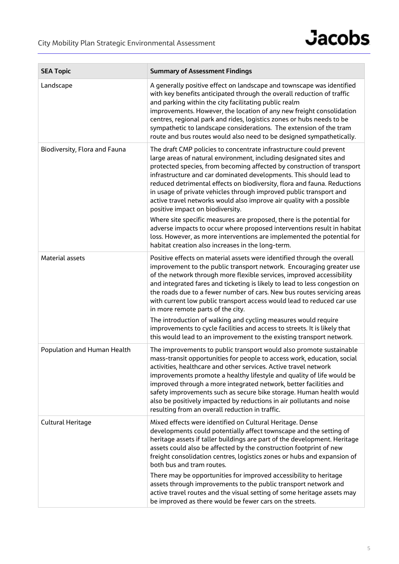| <b>SEA Topic</b>              | <b>Summary of Assessment Findings</b>                                                                                                                                                                                                                                                                                                                                                                                                                                                                                                                                                                                                                                                                                   |
|-------------------------------|-------------------------------------------------------------------------------------------------------------------------------------------------------------------------------------------------------------------------------------------------------------------------------------------------------------------------------------------------------------------------------------------------------------------------------------------------------------------------------------------------------------------------------------------------------------------------------------------------------------------------------------------------------------------------------------------------------------------------|
| Landscape                     | A generally positive effect on landscape and townscape was identified<br>with key benefits anticipated through the overall reduction of traffic<br>and parking within the city facilitating public realm<br>improvements. However, the location of any new freight consolidation<br>centres, regional park and rides, logistics zones or hubs needs to be<br>sympathetic to landscape considerations. The extension of the tram<br>route and bus routes would also need to be designed sympathetically.                                                                                                                                                                                                                 |
| Biodiversity, Flora and Fauna | The draft CMP policies to concentrate infrastructure could prevent<br>large areas of natural environment, including designated sites and<br>protected species, from becoming affected by construction of transport<br>infrastructure and car dominated developments. This should lead to<br>reduced detrimental effects on biodiversity, flora and fauna. Reductions<br>in usage of private vehicles through improved public transport and<br>active travel networks would also improve air quality with a possible<br>positive impact on biodiversity.                                                                                                                                                                 |
|                               | Where site specific measures are proposed, there is the potential for<br>adverse impacts to occur where proposed interventions result in habitat<br>loss. However, as more interventions are implemented the potential for<br>habitat creation also increases in the long-term.                                                                                                                                                                                                                                                                                                                                                                                                                                         |
| <b>Material assets</b>        | Positive effects on material assets were identified through the overall<br>improvement to the public transport network. Encouraging greater use<br>of the network through more flexible services, improved accessibility<br>and integrated fares and ticketing is likely to lead to less congestion on<br>the roads due to a fewer number of cars. New bus routes servicing areas<br>with current low public transport access would lead to reduced car use<br>in more remote parts of the city.<br>The introduction of walking and cycling measures would require<br>improvements to cycle facilities and access to streets. It is likely that<br>this would lead to an improvement to the existing transport network. |
| Population and Human Health   | The improvements to public transport would also promote sustainable<br>mass-transit opportunities for people to access work, education, social<br>activities, healthcare and other services. Active travel network<br>improvements promote a healthy lifestyle and quality of life would be<br>improved through a more integrated network, better facilities and<br>safety improvements such as secure bike storage. Human health would<br>also be positively impacted by reductions in air pollutants and noise<br>resulting from an overall reduction in traffic.                                                                                                                                                     |
| <b>Cultural Heritage</b>      | Mixed effects were identified on Cultural Heritage. Dense<br>developments could potentially affect townscape and the setting of<br>heritage assets if taller buildings are part of the development. Heritage<br>assets could also be affected by the construction footprint of new<br>freight consolidation centres, logistics zones or hubs and expansion of<br>both bus and tram routes.                                                                                                                                                                                                                                                                                                                              |
|                               | There may be opportunities for improved accessibility to heritage<br>assets through improvements to the public transport network and<br>active travel routes and the visual setting of some heritage assets may<br>be improved as there would be fewer cars on the streets.                                                                                                                                                                                                                                                                                                                                                                                                                                             |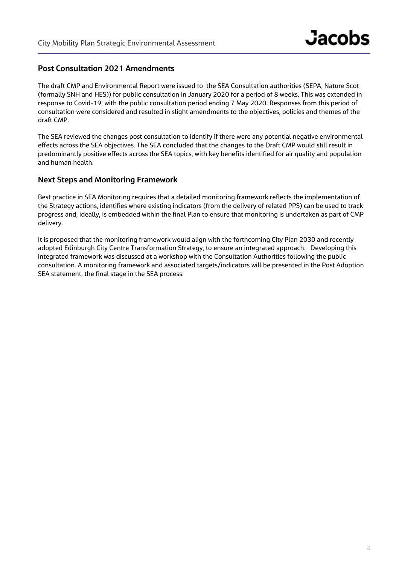## **Post Consultation 2021 Amendments**

The draft CMP and Environmental Report were issued to the SEA Consultation authorities (SEPA, Nature Scot (formally SNH and HES)) for public consultation in January 2020 for a period of 8 weeks. This was extended in response to Covid-19, with the public consultation period ending 7 May 2020. Responses from this period of consultation were considered and resulted in slight amendments to the objectives, policies and themes of the draft CMP.

The SEA reviewed the changes post consultation to identify if there were any potential negative environmental effects across the SEA objectives. The SEA concluded that the changes to the Draft CMP would still result in predominantly positive effects across the SEA topics, with key benefits identified for air quality and population and human health.

### **Next Steps and Monitoring Framework**

Best practice in SEA Monitoring requires that a detailed monitoring framework reflects the implementation of the Strategy actions, identifies where existing indicators (from the delivery of related PPS) can be used to track progress and, ideally, is embedded within the final Plan to ensure that monitoring is undertaken as part of CMP delivery.

It is proposed that the monitoring framework would align with the forthcoming City Plan 2030 and recently adopted Edinburgh City Centre Transformation Strategy, to ensure an integrated approach. Developing this integrated framework was discussed at a workshop with the Consultation Authorities following the public consultation. A monitoring framework and associated targets/indicators will be presented in the Post Adoption SEA statement, the final stage in the SEA process.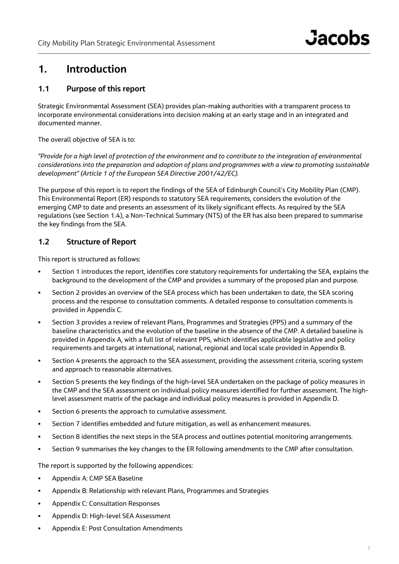## **1. Introduction**

## **1.1 Purpose of this report**

Strategic Environmental Assessment (SEA) provides plan-making authorities with a transparent process to incorporate environmental considerations into decision making at an early stage and in an integrated and documented manner.

The overall objective of SEA is to:

*"Provide for a high level of protection of the environment and to contribute to the integration of environmental considerations into the preparation and adoption of plans and programmes with a view to promoting sustainable development" (Article 1 of the European SEA Directive 2001/42/EC).*

The purpose of this report is to report the findings of the SEA of Edinburgh Council's City Mobility Plan (CMP). This Environmental Report (ER) responds to statutory SEA requirements, considers the evolution of the emerging CMP to date and presents an assessment of its likely significant effects. As required by the SEA regulations (see Section 1.4), a Non-Technical Summary (NTS) of the ER has also been prepared to summarise the key findings from the SEA.

## **1.2 Structure of Report**

This report is structured as follows:

- Section 1 introduces the report, identifies core statutory requirements for undertaking the SEA, explains the background to the development of the CMP and provides a summary of the proposed plan and purpose.
- Section 2 provides an overview of the SEA process which has been undertaken to date, the SEA scoring process and the response to consultation comments. A detailed response to consultation comments is provided in Appendix C.
- Section 3 provides a review of relevant Plans, Programmes and Strategies (PPS) and a summary of the baseline characteristics and the evolution of the baseline in the absence of the CMP. A detailed baseline is provided in Appendix A, with a full list of relevant PPS, which identifies applicable legislative and policy requirements and targets at international, national, regional and local scale provided in Appendix B.
- Section 4 presents the approach to the SEA assessment, providing the assessment criteria, scoring system and approach to reasonable alternatives.
- Section 5 presents the key findings of the high-level SEA undertaken on the package of policy measures in the CMP and the SEA assessment on individual policy measures identified for further assessment. The highlevel assessment matrix of the package and individual policy measures is provided in Appendix D.
- Section 6 presents the approach to cumulative assessment.
- Section 7 identifies embedded and future mitigation, as well as enhancement measures.
- Section 8 identifies the next steps in the SEA process and outlines potential monitoring arrangements.
- Section 9 summarises the key changes to the ER following amendments to the CMP after consultation.

The report is supported by the following appendices:

- Appendix A: CMP SEA Baseline
- Appendix B: Relationship with relevant Plans, Programmes and Strategies
- **Appendix C: Consultation Responses**
- **Appendix D: High-level SEA Assessment**
- Appendix E: Post Consultation Amendments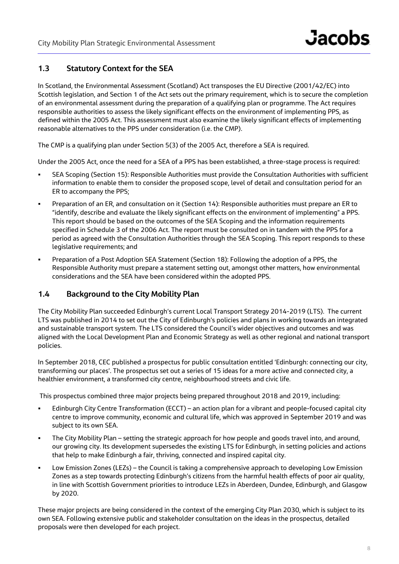## **1.3 Statutory Context for the SEA**

In Scotland, the Environmental Assessment (Scotland) Act transposes the EU Directive (2001/42/EC) into Scottish legislation, and Section 1 of the Act sets out the primary requirement, which is to secure the completion of an environmental assessment during the preparation of a qualifying plan or programme. The Act requires responsible authorities to assess the likely significant effects on the environment of implementing PPS, as defined within the 2005 Act. This assessment must also examine the likely significant effects of implementing reasonable alternatives to the PPS under consideration (i.e. the CMP).

The CMP is a qualifying plan under Section 5(3) of the 2005 Act, therefore a SEA is required.

Under the 2005 Act, once the need for a SEA of a PPS has been established, a three-stage process is required:

- SEA Scoping (Section 15): Responsible Authorities must provide the Consultation Authorities with sufficient information to enable them to consider the proposed scope, level of detail and consultation period for an ER to accompany the PPS;
- Preparation of an ER, and consultation on it (Section 14): Responsible authorities must prepare an ER to "identify, describe and evaluate the likely significant effects on the environment of implementing" a PPS. This report should be based on the outcomes of the SEA Scoping and the information requirements specified in Schedule 3 of the 2006 Act. The report must be consulted on in tandem with the PPS for a period as agreed with the Consultation Authorities through the SEA Scoping. This report responds to these legislative requirements; and
- Preparation of a Post Adoption SEA Statement (Section 18): Following the adoption of a PPS, the Responsible Authority must prepare a statement setting out, amongst other matters, how environmental considerations and the SEA have been considered within the adopted PPS.

## **1.4 Background to the City Mobility Plan**

The City Mobility Plan succeeded Edinburgh's current Local Transport Strategy 2014-2019 (LTS). The current LTS was published in 2014 to set out the City of Edinburgh's policies and plans in working towards an integrated and sustainable transport system. The LTS considered the Council's wider objectives and outcomes and was aligned with the Local Development Plan and Economic Strategy as well as other regional and national transport policies.

In September 2018, CEC published a prospectus for public consultation entitled 'Edinburgh: connecting our city, transforming our places'. The prospectus set out a series of 15 ideas for a more active and connected city, a healthier environment, a transformed city centre, neighbourhood streets and civic life.

This prospectus combined three major projects being prepared throughout 2018 and 2019, including:

- Edinburgh City Centre Transformation (ECCT) an action plan for a vibrant and people-focused capital city centre to improve community, economic and cultural life, which was approved in September 2019 and was subject to its own SEA.
- The City Mobility Plan setting the strategic approach for how people and goods travel into, and around, our growing city. Its development supersedes the existing LTS for Edinburgh, in setting policies and actions that help to make Edinburgh a fair, thriving, connected and inspired capital city.
- Low Emission Zones (LEZs) the Council is taking a comprehensive approach to developing Low Emission Zones as a step towards protecting Edinburgh's citizens from the harmful health effects of poor air quality, in line with Scottish Government priorities to introduce LEZs in Aberdeen, Dundee, Edinburgh, and Glasgow by 2020.

These major projects are being considered in the context of the emerging City Plan 2030, which is subject to its own SEA. Following extensive public and stakeholder consultation on the ideas in the prospectus, detailed proposals were then developed for each project.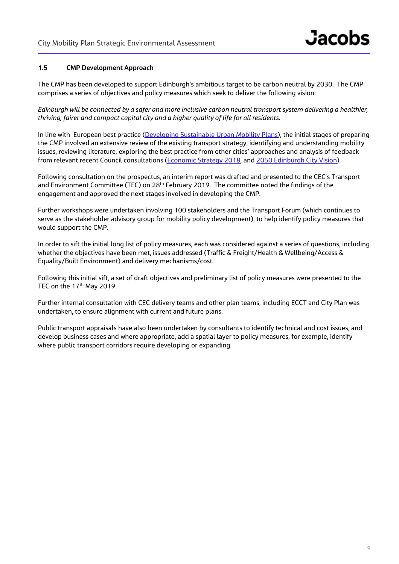#### **1.5 CMP Development Approach**

The CMP has been developed to support Edinburgh's ambitious target to be carbon neutral by 2030. The CMP comprises a series of objectives and policy measures which seek to deliver the following vision:

*Edinburgh will be connected by a safer and more inclusive carbon neutral transport system delivering a healthier, thriving, fairer and compact capital city and a higher quality of life for all residents.*

In line with European best practice (Developing Sustainable Urban Mobility Plans), the initial stages of preparing the CMP involved an extensive review of the existing transport strategy, identifying and understanding mobility issues, reviewing literature, exploring the best practice from other cities' approaches and analysis of feedback from relevant recent Council consultations (Economic Strategy 2018, and 2050 Edinburgh City Vision).

Following consultation on the prospectus, an interim report was drafted and presented to the CEC's Transport and Environment Committee (TEC) on 28<sup>th</sup> February 2019. The committee noted the findings of the engagement and approved the next stages involved in developing the CMP.

Further workshops were undertaken involving 100 stakeholders and the Transport Forum (which continues to serve as the stakeholder advisory group for mobility policy development), to help identify policy measures that would support the CMP.

In order to sift the initial long list of policy measures, each was considered against a series of questions, including whether the objectives have been met, issues addressed (Traffic & Freight/Health & Wellbeing/Access & Equality/Built Environment) and delivery mechanisms/cost.

Following this initial sift, a set of draft objectives and preliminary list of policy measures were presented to the TEC on the 17<sup>th</sup> May 2019.

Further internal consultation with CEC delivery teams and other plan teams, including ECCT and City Plan was undertaken, to ensure alignment with current and future plans.

Public transport appraisals have also been undertaken by consultants to identify technical and cost issues, and develop business cases and where appropriate, add a spatial layer to policy measures, for example, identify where public transport corridors require developing or expanding.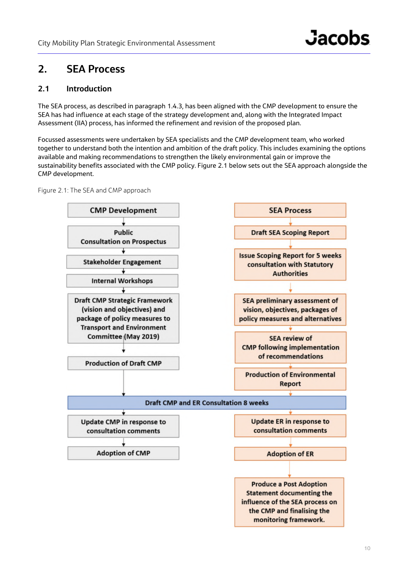## **2. SEA Process**

## **2.1 Introduction**

The SEA process, as described in paragraph 1.4.3, has been aligned with the CMP development to ensure the SEA has had influence at each stage of the strategy development and, along with the Integrated Impact Assessment (IIA) process, has informed the refinement and revision of the proposed plan.

Focussed assessments were undertaken by SEA specialists and the CMP development team, who worked together to understand both the intention and ambition of the draft policy. This includes examining the options available and making recommendations to strengthen the likely environmental gain or improve the sustainability benefits associated with the CMP policy. Figure 2.1 below sets out the SEA approach alongside the CMP development.

Figure 2.1: The SEA and CMP approach

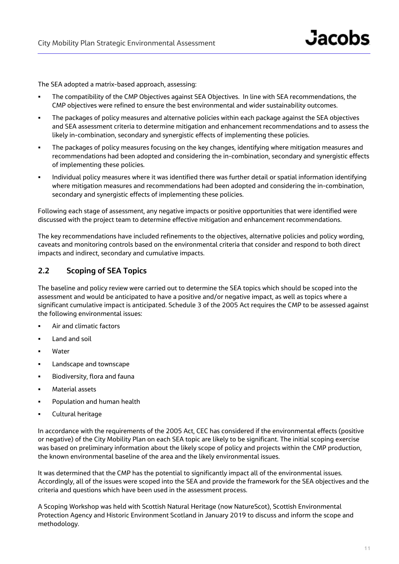The SEA adopted a matrix-based approach, assessing:

- The compatibility of the CMP Objectives against SEA Objectives. In line with SEA recommendations, the CMP objectives were refined to ensure the best environmental and wider sustainability outcomes.
- The packages of policy measures and alternative policies within each package against the SEA objectives and SEA assessment criteria to determine mitigation and enhancement recommendations and to assess the likely in-combination, secondary and synergistic effects of implementing these policies.
- The packages of policy measures focusing on the key changes, identifying where mitigation measures and recommendations had been adopted and considering the in-combination, secondary and synergistic effects of implementing these policies.
- Individual policy measures where it was identified there was further detail or spatial information identifying where mitigation measures and recommendations had been adopted and considering the in-combination, secondary and synergistic effects of implementing these policies.

Following each stage of assessment, any negative impacts or positive opportunities that were identified were discussed with the project team to determine effective mitigation and enhancement recommendations.

The key recommendations have included refinements to the objectives, alternative policies and policy wording, caveats and monitoring controls based on the environmental criteria that consider and respond to both direct impacts and indirect, secondary and cumulative impacts.

## **2.2 Scoping of SEA Topics**

The baseline and policy review were carried out to determine the SEA topics which should be scoped into the assessment and would be anticipated to have a positive and/or negative impact, as well as topics where a significant cumulative impact is anticipated. Schedule 3 of the 2005 Act requires the CMP to be assessed against the following environmental issues:

- **Air and climatic factors**
- Land and soil
- Water
- **Landscape and townscape**
- Biodiversity, flora and fauna
- Material assets
- **Population and human health**
- Cultural heritage

In accordance with the requirements of the 2005 Act, CEC has considered if the environmental effects (positive or negative) of the City Mobility Plan on each SEA topic are likely to be significant. The initial scoping exercise was based on preliminary information about the likely scope of policy and projects within the CMP production, the known environmental baseline of the area and the likely environmental issues.

It was determined that the CMP has the potential to significantly impact all of the environmental issues. Accordingly, all of the issues were scoped into the SEA and provide the framework for the SEA objectives and the criteria and questions which have been used in the assessment process.

A Scoping Workshop was held with Scottish Natural Heritage (now NatureScot), Scottish Environmental Protection Agency and Historic Environment Scotland in January 2019 to discuss and inform the scope and methodology.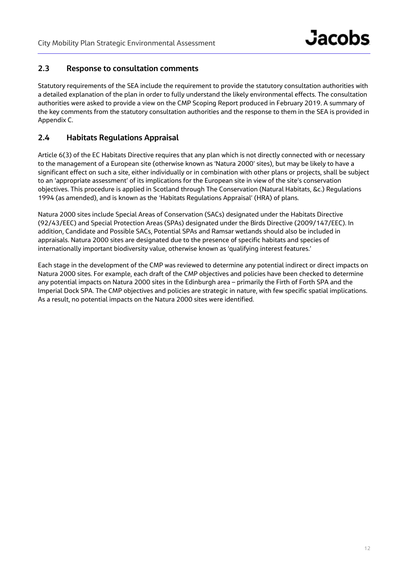## **2.3 Response to consultation comments**

Statutory requirements of the SEA include the requirement to provide the statutory consultation authorities with a detailed explanation of the plan in order to fully understand the likely environmental effects. The consultation authorities were asked to provide a view on the CMP Scoping Report produced in February 2019. A summary of the key comments from the statutory consultation authorities and the response to them in the SEA is provided in Appendix C.

## **2.4 Habitats Regulations Appraisal**

Article 6(3) of the EC Habitats Directive requires that any plan which is not directly connected with or necessary to the management of a European site (otherwise known as 'Natura 2000' sites), but may be likely to have a significant effect on such a site, either individually or in combination with other plans or projects, shall be subject to an 'appropriate assessment' of its implications for the European site in view of the site's conservation objectives. This procedure is applied in Scotland through The Conservation (Natural Habitats, &c.) Regulations 1994 (as amended), and is known as the 'Habitats Regulations Appraisal' (HRA) of plans.

Natura 2000 sites include Special Areas of Conservation (SACs) designated under the Habitats Directive (92/43/EEC) and Special Protection Areas (SPAs) designated under the Birds Directive (2009/147/EEC). In addition, Candidate and Possible SACs, Potential SPAs and Ramsar wetlands should also be included in appraisals. Natura 2000 sites are designated due to the presence of specific habitats and species of internationally important biodiversity value, otherwise known as 'qualifying interest features.'

Each stage in the development of the CMP was reviewed to determine any potential indirect or direct impacts on Natura 2000 sites. For example, each draft of the CMP objectives and policies have been checked to determine any potential impacts on Natura 2000 sites in the Edinburgh area – primarily the Firth of Forth SPA and the Imperial Dock SPA. The CMP objectives and policies are strategic in nature, with few specific spatial implications. As a result, no potential impacts on the Natura 2000 sites were identified.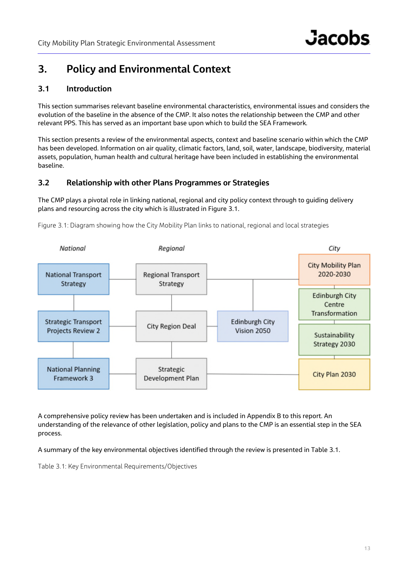## **3. Policy and Environmental Context**

## **3.1 Introduction**

This section summarises relevant baseline environmental characteristics, environmental issues and considers the evolution of the baseline in the absence of the CMP. It also notes the relationship between the CMP and other relevant PPS. This has served as an important base upon which to build the SEA Framework.

This section presents a review of the environmental aspects, context and baseline scenario within which the CMP has been developed. Information on air quality, climatic factors, land, soil, water, landscape, biodiversity, material assets, population, human health and cultural heritage have been included in establishing the environmental baseline.

## **3.2 Relationship with other Plans Programmes or Strategies**

The CMP plays a pivotal role in linking national, regional and city policy context through to guiding delivery plans and resourcing across the city which is illustrated in Figure 3.1.



Figure 3.1: Diagram showing how the City Mobility Plan links to national, regional and local strategies

A comprehensive policy review has been undertaken and is included in Appendix B to this report. An understanding of the relevance of other legislation, policy and plans to the CMP is an essential step in the SEA process.

A summary of the key environmental objectives identified through the review is presented in Table 3.1.

Table 3.1: Key Environmental Requirements/Objectives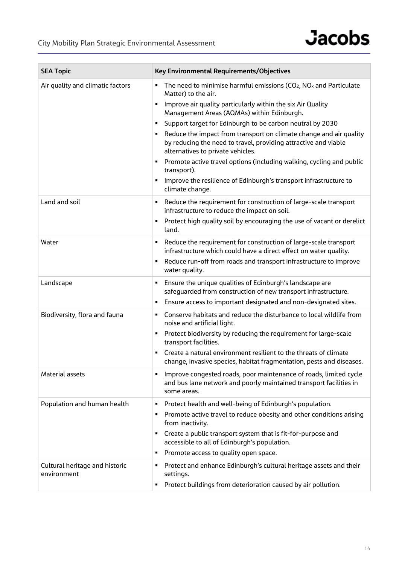

| <b>SEA Topic</b>                              | Key Environmental Requirements/Objectives                                                                                                                                  |
|-----------------------------------------------|----------------------------------------------------------------------------------------------------------------------------------------------------------------------------|
| Air quality and climatic factors              | The need to minimise harmful emissions (CO <sub>2</sub> , NO <sub>x</sub> and Particulate<br>٠<br>Matter) to the air.                                                      |
|                                               | Improve air quality particularly within the six Air Quality<br>٠<br>Management Areas (AQMAs) within Edinburgh.                                                             |
|                                               | Support target for Edinburgh to be carbon neutral by 2030<br>٠                                                                                                             |
|                                               | Reduce the impact from transport on climate change and air quality<br>by reducing the need to travel, providing attractive and viable<br>alternatives to private vehicles. |
|                                               | Promote active travel options (including walking, cycling and public<br>٠<br>transport).                                                                                   |
|                                               | Improve the resilience of Edinburgh's transport infrastructure to<br>٠<br>climate change.                                                                                  |
| Land and soil                                 | Reduce the requirement for construction of large-scale transport<br>٠<br>infrastructure to reduce the impact on soil.                                                      |
|                                               | Protect high quality soil by encouraging the use of vacant or derelict<br>٠<br>land.                                                                                       |
| Water                                         | Reduce the requirement for construction of large-scale transport<br>Е<br>infrastructure which could have a direct effect on water quality.                                 |
|                                               | Reduce run-off from roads and transport infrastructure to improve<br>٠<br>water quality.                                                                                   |
| Landscape                                     | Ensure the unique qualities of Edinburgh's landscape are<br>٠<br>safeguarded from construction of new transport infrastructure.                                            |
|                                               | Ensure access to important designated and non-designated sites.<br>٠                                                                                                       |
| Biodiversity, flora and fauna                 | Conserve habitats and reduce the disturbance to local wildlife from<br>٠<br>noise and artificial light.                                                                    |
|                                               | Protect biodiversity by reducing the requirement for large-scale<br>٠<br>transport facilities.                                                                             |
|                                               | Create a natural environment resilient to the threats of climate<br>٠<br>change, invasive species, habitat fragmentation, pests and diseases.                              |
| Material assets                               | Improve congested roads, poor maintenance of roads, limited cycle<br>٠<br>and bus lane network and poorly maintained transport facilities in<br>some areas.                |
| Population and human health                   | Protect health and well-being of Edinburgh's population.<br>٠                                                                                                              |
|                                               | Promote active travel to reduce obesity and other conditions arising<br>٠<br>from inactivity.                                                                              |
|                                               | Create a public transport system that is fit-for-purpose and<br>٠<br>accessible to all of Edinburgh's population.                                                          |
|                                               | Promote access to quality open space.<br>٠                                                                                                                                 |
| Cultural heritage and historic<br>environment | Protect and enhance Edinburgh's cultural heritage assets and their<br>٠<br>settings.<br>Protect buildings from deterioration caused by air pollution.<br>٠                 |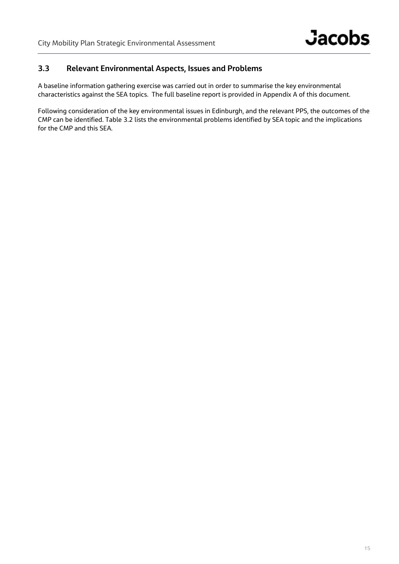## **3.3 Relevant Environmental Aspects, Issues and Problems**

A baseline information gathering exercise was carried out in order to summarise the key environmental characteristics against the SEA topics. The full baseline report is provided in Appendix A of this document.

Following consideration of the key environmental issues in Edinburgh, and the relevant PPS, the outcomes of the CMP can be identified. Table 3.2 lists the environmental problems identified by SEA topic and the implications for the CMP and this SEA.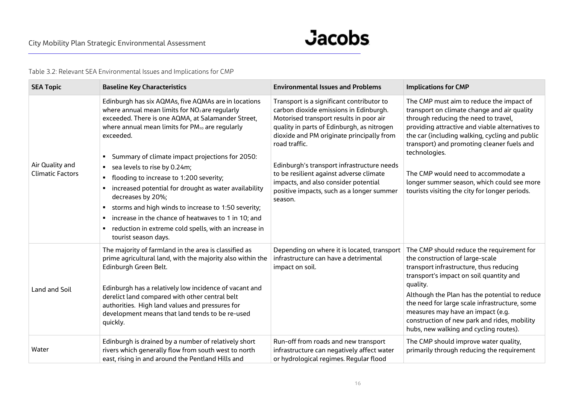Table 3.2: Relevant SEA Environmental Issues and Implications for CMP

| <b>SEA Topic</b>                           | <b>Baseline Key Characteristics</b>                                                                                                                                                                                                                                                                                                                                                                                                                                                                                                                                                                                                                                                                                         | <b>Environmental Issues and Problems</b>                                                                                                                                                                                                                                                                                                                                                                                            | <b>Implications for CMP</b>                                                                                                                                                                                                                                                                                                                                                                                                                |
|--------------------------------------------|-----------------------------------------------------------------------------------------------------------------------------------------------------------------------------------------------------------------------------------------------------------------------------------------------------------------------------------------------------------------------------------------------------------------------------------------------------------------------------------------------------------------------------------------------------------------------------------------------------------------------------------------------------------------------------------------------------------------------------|-------------------------------------------------------------------------------------------------------------------------------------------------------------------------------------------------------------------------------------------------------------------------------------------------------------------------------------------------------------------------------------------------------------------------------------|--------------------------------------------------------------------------------------------------------------------------------------------------------------------------------------------------------------------------------------------------------------------------------------------------------------------------------------------------------------------------------------------------------------------------------------------|
| Air Quality and<br><b>Climatic Factors</b> | Edinburgh has six AQMAs, five AQMAs are in locations<br>where annual mean limits for NO <sub>2</sub> are regularly<br>exceeded. There is one AQMA, at Salamander Street,<br>where annual mean limits for PM <sub>10</sub> are regularly<br>exceeded.<br>Summary of climate impact projections for 2050:<br>sea levels to rise by 0.24m;<br>$\blacksquare$<br>flooding to increase to 1:200 severity;<br>$\blacksquare$<br>increased potential for drought as water availability<br>decreases by 20%;<br>storms and high winds to increase to 1:50 severity;<br>п.<br>increase in the chance of heatwaves to 1 in 10; and<br>$\blacksquare$<br>reduction in extreme cold spells, with an increase in<br>tourist season days. | Transport is a significant contributor to<br>carbon dioxide emissions in Edinburgh.<br>Motorised transport results in poor air<br>quality in parts of Edinburgh, as nitrogen<br>dioxide and PM originate principally from<br>road traffic.<br>Edinburgh's transport infrastructure needs<br>to be resilient against adverse climate<br>impacts, and also consider potential<br>positive impacts, such as a longer summer<br>season. | The CMP must aim to reduce the impact of<br>transport on climate change and air quality<br>through reducing the need to travel,<br>providing attractive and viable alternatives to<br>the car (including walking, cycling and public<br>transport) and promoting cleaner fuels and<br>technologies.<br>The CMP would need to accommodate a<br>longer summer season, which could see more<br>tourists visiting the city for longer periods. |
| Land and Soil                              | The majority of farmland in the area is classified as<br>prime agricultural land, with the majority also within the<br>Edinburgh Green Belt.<br>Edinburgh has a relatively low incidence of vacant and<br>derelict land compared with other central belt<br>authorities. High land values and pressures for<br>development means that land tends to be re-used<br>quickly.                                                                                                                                                                                                                                                                                                                                                  | Depending on where it is located, transport<br>infrastructure can have a detrimental<br>impact on soil.                                                                                                                                                                                                                                                                                                                             | The CMP should reduce the requirement for<br>the construction of large-scale<br>transport infrastructure, thus reducing<br>transport's impact on soil quantity and<br>quality.<br>Although the Plan has the potential to reduce<br>the need for large scale infrastructure, some<br>measures may have an impact (e.g.<br>construction of new park and rides, mobility<br>hubs, new walking and cycling routes).                            |
| Water                                      | Edinburgh is drained by a number of relatively short<br>rivers which generally flow from south west to north<br>east, rising in and around the Pentland Hills and                                                                                                                                                                                                                                                                                                                                                                                                                                                                                                                                                           | Run-off from roads and new transport<br>infrastructure can negatively affect water<br>or hydrological regimes. Regular flood                                                                                                                                                                                                                                                                                                        | The CMP should improve water quality,<br>primarily through reducing the requirement                                                                                                                                                                                                                                                                                                                                                        |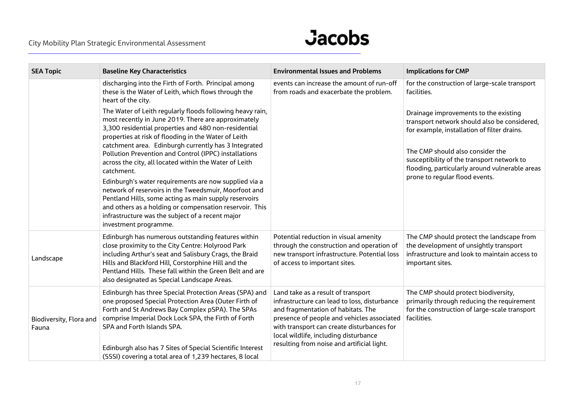## **Jacobs**

| <b>SEA Topic</b>                 | <b>Baseline Key Characteristics</b>                                                                                                                                                                                                                                                                                                 | <b>Environmental Issues and Problems</b>                                                                                                                                                                                                                      | <b>Implications for CMP</b>                                                                                                                              |
|----------------------------------|-------------------------------------------------------------------------------------------------------------------------------------------------------------------------------------------------------------------------------------------------------------------------------------------------------------------------------------|---------------------------------------------------------------------------------------------------------------------------------------------------------------------------------------------------------------------------------------------------------------|----------------------------------------------------------------------------------------------------------------------------------------------------------|
|                                  | discharging into the Firth of Forth. Principal among<br>these is the Water of Leith, which flows through the<br>heart of the city.                                                                                                                                                                                                  | events can increase the amount of run-off<br>from roads and exacerbate the problem.                                                                                                                                                                           | for the construction of large-scale transport<br>facilities.                                                                                             |
|                                  | The Water of Leith regularly floods following heavy rain,<br>most recently in June 2019. There are approximately<br>3,300 residential properties and 480 non-residential<br>properties at risk of flooding in the Water of Leith                                                                                                    |                                                                                                                                                                                                                                                               | Drainage improvements to the existing<br>transport network should also be considered,<br>for example, installation of filter drains.                     |
|                                  | catchment area. Edinburgh currently has 3 Integrated<br>Pollution Prevention and Control (IPPC) installations<br>across the city, all located within the Water of Leith<br>catchment.                                                                                                                                               |                                                                                                                                                                                                                                                               | The CMP should also consider the<br>susceptibility of the transport network to<br>flooding, particularly around vulnerable areas                         |
|                                  | Edinburgh's water requirements are now supplied via a<br>network of reservoirs in the Tweedsmuir, Moorfoot and<br>Pentland Hills, some acting as main supply reservoirs<br>and others as a holding or compensation reservoir. This<br>infrastructure was the subject of a recent major<br>investment programme.                     |                                                                                                                                                                                                                                                               | prone to regular flood events.                                                                                                                           |
| Landscape                        | Edinburgh has numerous outstanding features within<br>close proximity to the City Centre: Holyrood Park<br>including Arthur's seat and Salisbury Crags, the Braid<br>Hills and Blackford Hill, Corstorphine Hill and the<br>Pentland Hills. These fall within the Green Belt and are<br>also designated as Special Landscape Areas. | Potential reduction in visual amenity<br>through the construction and operation of<br>new transport infrastructure. Potential loss<br>of access to important sites.                                                                                           | The CMP should protect the landscape from<br>the development of unsightly transport<br>infrastructure and look to maintain access to<br>important sites. |
| Biodiversity, Flora and<br>Fauna | Edinburgh has three Special Protection Areas (SPA) and<br>one proposed Special Protection Area (Outer Firth of<br>Forth and St Andrews Bay Complex pSPA). The SPAs<br>comprise Imperial Dock Lock SPA, the Firth of Forth<br>SPA and Forth Islands SPA.                                                                             | Land take as a result of transport<br>infrastructure can lead to loss, disturbance<br>and fragmentation of habitats. The<br>presence of people and vehicles associated<br>with transport can create disturbances for<br>local wildlife, including disturbance | The CMP should protect biodiversity,<br>primarily through reducing the requirement<br>for the construction of large-scale transport<br>facilities.       |
|                                  | Edinburgh also has 7 Sites of Special Scientific Interest<br>(SSSI) covering a total area of 1,239 hectares, 8 local                                                                                                                                                                                                                | resulting from noise and artificial light.                                                                                                                                                                                                                    |                                                                                                                                                          |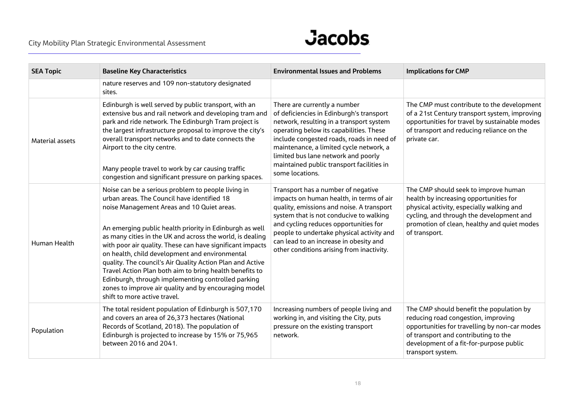

| <b>SEA Topic</b> | <b>Baseline Key Characteristics</b>                                                                                                                                                                                                                                                                                                                                                                                                                                                                                                                                                                                                                           | <b>Environmental Issues and Problems</b>                                                                                                                                                                                                                                                                                                                       | <b>Implications for CMP</b>                                                                                                                                                                                                              |
|------------------|---------------------------------------------------------------------------------------------------------------------------------------------------------------------------------------------------------------------------------------------------------------------------------------------------------------------------------------------------------------------------------------------------------------------------------------------------------------------------------------------------------------------------------------------------------------------------------------------------------------------------------------------------------------|----------------------------------------------------------------------------------------------------------------------------------------------------------------------------------------------------------------------------------------------------------------------------------------------------------------------------------------------------------------|------------------------------------------------------------------------------------------------------------------------------------------------------------------------------------------------------------------------------------------|
|                  | nature reserves and 109 non-statutory designated<br>sites.                                                                                                                                                                                                                                                                                                                                                                                                                                                                                                                                                                                                    |                                                                                                                                                                                                                                                                                                                                                                |                                                                                                                                                                                                                                          |
| Material assets  | Edinburgh is well served by public transport, with an<br>extensive bus and rail network and developing tram and<br>park and ride network. The Edinburgh Tram project is<br>the largest infrastructure proposal to improve the city's<br>overall transport networks and to date connects the<br>Airport to the city centre.<br>Many people travel to work by car causing traffic<br>congestion and significant pressure on parking spaces.                                                                                                                                                                                                                     | There are currently a number<br>of deficiencies in Edinburgh's transport<br>network, resulting in a transport system<br>operating below its capabilities. These<br>include congested roads, roads in need of<br>maintenance, a limited cycle network, a<br>limited bus lane network and poorly<br>maintained public transport facilities in<br>some locations. | The CMP must contribute to the development<br>of a 21st Century transport system, improving<br>opportunities for travel by sustainable modes<br>of transport and reducing reliance on the<br>private car.                                |
| Human Health     | Noise can be a serious problem to people living in<br>urban areas. The Council have identified 18<br>noise Management Areas and 10 Quiet areas.<br>An emerging public health priority in Edinburgh as well<br>as many cities in the UK and across the world, is dealing<br>with poor air quality. These can have significant impacts<br>on health, child development and environmental<br>quality. The council's Air Quality Action Plan and Active<br>Travel Action Plan both aim to bring health benefits to<br>Edinburgh, through implementing controlled parking<br>zones to improve air quality and by encouraging model<br>shift to more active travel. | Transport has a number of negative<br>impacts on human health, in terms of air<br>quality, emissions and noise. A transport<br>system that is not conducive to walking<br>and cycling reduces opportunities for<br>people to undertake physical activity and<br>can lead to an increase in obesity and<br>other conditions arising from inactivity.            | The CMP should seek to improve human<br>health by increasing opportunities for<br>physical activity, especially walking and<br>cycling, and through the development and<br>promotion of clean, healthy and quiet modes<br>of transport.  |
| Population       | The total resident population of Edinburgh is 507,170<br>and covers an area of 26,373 hectares (National<br>Records of Scotland, 2018). The population of<br>Edinburgh is projected to increase by 15% or 75,965<br>between 2016 and 2041.                                                                                                                                                                                                                                                                                                                                                                                                                    | Increasing numbers of people living and<br>working in, and visiting the City, puts<br>pressure on the existing transport<br>network.                                                                                                                                                                                                                           | The CMP should benefit the population by<br>reducing road congestion, improving<br>opportunities for travelling by non-car modes<br>of transport and contributing to the<br>development of a fit-for-purpose public<br>transport system. |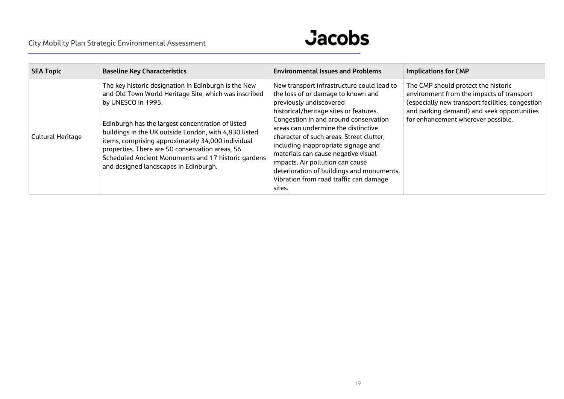## **Jacobs**

| <b>SEA Topic</b>  | <b>Baseline Key Characteristics</b>                                                                                                                                                                                                                                                                                                                                                                                                                       | <b>Environmental Issues and Problems</b>                                                                                                                                                                                                                                                                                                                                                                                                                                                             | <b>Implications for CMP</b>                                                                                                                                                                                              |
|-------------------|-----------------------------------------------------------------------------------------------------------------------------------------------------------------------------------------------------------------------------------------------------------------------------------------------------------------------------------------------------------------------------------------------------------------------------------------------------------|------------------------------------------------------------------------------------------------------------------------------------------------------------------------------------------------------------------------------------------------------------------------------------------------------------------------------------------------------------------------------------------------------------------------------------------------------------------------------------------------------|--------------------------------------------------------------------------------------------------------------------------------------------------------------------------------------------------------------------------|
| Cultural Heritage | The key historic designation in Edinburgh is the New<br>and Old Town World Heritage Site, which was inscribed<br>by UNESCO in 1995.<br>Edinburgh has the largest concentration of listed<br>buildings in the UK outside London, with 4,830 listed<br>items, comprising approximately 34,000 individual<br>properties. There are 50 conservation areas, 56<br>Scheduled Ancient Monuments and 17 historic gardens<br>and designed landscapes in Edinburgh. | New transport infrastructure could lead to<br>the loss of or damage to known and<br>previously undiscovered<br>historical/heritage sites or features.<br>Congestion in and around conservation<br>areas can undermine the distinctive<br>character of such areas. Street clutter,<br>including inappropriate signage and<br>materials can cause negative visual<br>impacts. Air pollution can cause<br>deterioration of buildings and monuments.<br>Vibration from road traffic can damage<br>sites. | The CMP should protect the historic<br>environment from the impacts of transport<br>(especially new transport facilities, congestion<br>and parking demand) and seek opportunities<br>for enhancement wherever possible. |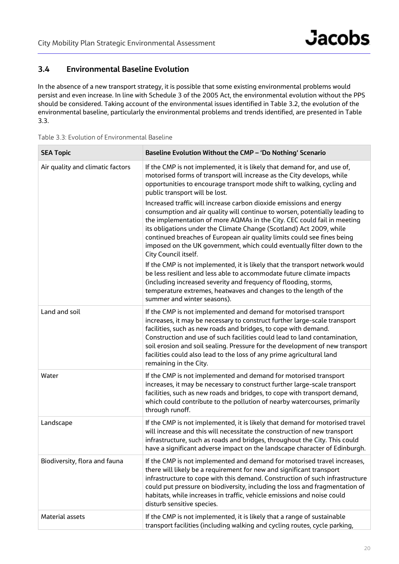## **3.4 Environmental Baseline Evolution**

In the absence of a new transport strategy, it is possible that some existing environmental problems would persist and even increase. In line with Schedule 3 of the 2005 Act, the environmental evolution without the PPS should be considered. Taking account of the environmental issues identified in Table 3.2, the evolution of the environmental baseline, particularly the environmental problems and trends identified, are presented in Table 3.3.

|  |  | Table 3.3: Evolution of Environmental Baseline |  |
|--|--|------------------------------------------------|--|
|  |  |                                                |  |

| <b>SEA Topic</b>                 | Baseline Evolution Without the CMP - 'Do Nothing' Scenario                                                                                                                                                                                                                                                                                                                                                                                                                         |
|----------------------------------|------------------------------------------------------------------------------------------------------------------------------------------------------------------------------------------------------------------------------------------------------------------------------------------------------------------------------------------------------------------------------------------------------------------------------------------------------------------------------------|
| Air quality and climatic factors | If the CMP is not implemented, it is likely that demand for, and use of,<br>motorised forms of transport will increase as the City develops, while<br>opportunities to encourage transport mode shift to walking, cycling and<br>public transport will be lost.                                                                                                                                                                                                                    |
|                                  | Increased traffic will increase carbon dioxide emissions and energy<br>consumption and air quality will continue to worsen, potentially leading to<br>the implementation of more AQMAs in the City. CEC could fail in meeting<br>its obligations under the Climate Change (Scotland) Act 2009, while<br>continued breaches of European air quality limits could see fines being<br>imposed on the UK government, which could eventually filter down to the<br>City Council itself. |
|                                  | If the CMP is not implemented, it is likely that the transport network would<br>be less resilient and less able to accommodate future climate impacts<br>(including increased severity and frequency of flooding, storms,<br>temperature extremes, heatwaves and changes to the length of the<br>summer and winter seasons).                                                                                                                                                       |
| Land and soil                    | If the CMP is not implemented and demand for motorised transport<br>increases, it may be necessary to construct further large-scale transport<br>facilities, such as new roads and bridges, to cope with demand.<br>Construction and use of such facilities could lead to land contamination,<br>soil erosion and soil sealing. Pressure for the development of new transport<br>facilities could also lead to the loss of any prime agricultural land<br>remaining in the City.   |
| Water                            | If the CMP is not implemented and demand for motorised transport<br>increases, it may be necessary to construct further large-scale transport<br>facilities, such as new roads and bridges, to cope with transport demand,<br>which could contribute to the pollution of nearby watercourses, primarily<br>through runoff.                                                                                                                                                         |
| Landscape                        | If the CMP is not implemented, it is likely that demand for motorised travel<br>will increase and this will necessitate the construction of new transport<br>infrastructure, such as roads and bridges, throughout the City. This could<br>have a significant adverse impact on the landscape character of Edinburgh.                                                                                                                                                              |
| Biodiversity, flora and fauna    | If the CMP is not implemented and demand for motorised travel increases,<br>there will likely be a requirement for new and significant transport<br>infrastructure to cope with this demand. Construction of such infrastructure<br>could put pressure on biodiversity, including the loss and fragmentation of<br>habitats, while increases in traffic, vehicle emissions and noise could<br>disturb sensitive species.                                                           |
| Material assets                  | If the CMP is not implemented, it is likely that a range of sustainable<br>transport facilities (including walking and cycling routes, cycle parking,                                                                                                                                                                                                                                                                                                                              |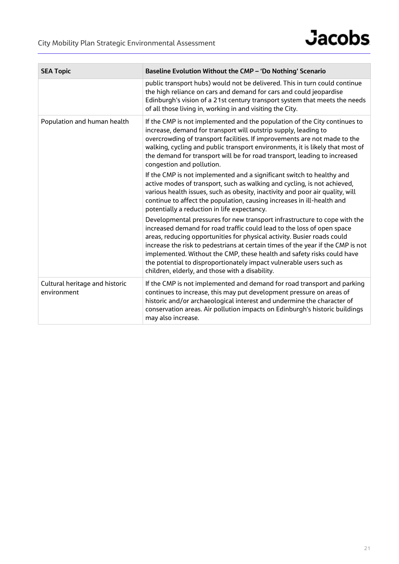| <b>SEA Topic</b>                              | Baseline Evolution Without the CMP - 'Do Nothing' Scenario                                                                                                                                                                                                                                                                                                                                                                                                                                                            |
|-----------------------------------------------|-----------------------------------------------------------------------------------------------------------------------------------------------------------------------------------------------------------------------------------------------------------------------------------------------------------------------------------------------------------------------------------------------------------------------------------------------------------------------------------------------------------------------|
|                                               | public transport hubs) would not be delivered. This in turn could continue<br>the high reliance on cars and demand for cars and could jeopardise<br>Edinburgh's vision of a 21st century transport system that meets the needs<br>of all those living in, working in and visiting the City.                                                                                                                                                                                                                           |
| Population and human health                   | If the CMP is not implemented and the population of the City continues to<br>increase, demand for transport will outstrip supply, leading to<br>overcrowding of transport facilities. If improvements are not made to the<br>walking, cycling and public transport environments, it is likely that most of<br>the demand for transport will be for road transport, leading to increased<br>congestion and pollution.                                                                                                  |
|                                               | If the CMP is not implemented and a significant switch to healthy and<br>active modes of transport, such as walking and cycling, is not achieved,<br>various health issues, such as obesity, inactivity and poor air quality, will<br>continue to affect the population, causing increases in ill-health and<br>potentially a reduction in life expectancy.                                                                                                                                                           |
|                                               | Developmental pressures for new transport infrastructure to cope with the<br>increased demand for road traffic could lead to the loss of open space<br>areas, reducing opportunities for physical activity. Busier roads could<br>increase the risk to pedestrians at certain times of the year if the CMP is not<br>implemented. Without the CMP, these health and safety risks could have<br>the potential to disproportionately impact vulnerable users such as<br>children, elderly, and those with a disability. |
| Cultural heritage and historic<br>environment | If the CMP is not implemented and demand for road transport and parking<br>continues to increase, this may put development pressure on areas of<br>historic and/or archaeological interest and undermine the character of<br>conservation areas. Air pollution impacts on Edinburgh's historic buildings<br>may also increase.                                                                                                                                                                                        |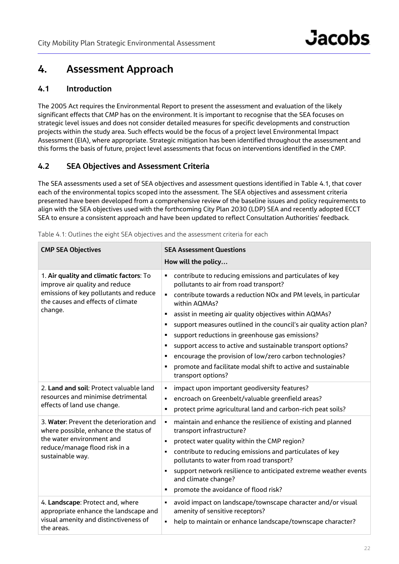## **4. Assessment Approach**

## **4.1 Introduction**

The 2005 Act requires the Environmental Report to present the assessment and evaluation of the likely significant effects that CMP has on the environment. It is important to recognise that the SEA focuses on strategic level issues and does not consider detailed measures for specific developments and construction projects within the study area. Such effects would be the focus of a project level Environmental Impact Assessment (EIA), where appropriate. Strategic mitigation has been identified throughout the assessment and this forms the basis of future, project level assessments that focus on interventions identified in the CMP.

## **4.2 SEA Objectives and Assessment Criteria**

The SEA assessments used a set of SEA objectives and assessment questions identified in Table 4.1, that cover each of the environmental topics scoped into the assessment. The SEA objectives and assessment criteria presented have been developed from a comprehensive review of the baseline issues and policy requirements to align with the SEA objectives used with the forthcoming City Plan 2030 (LDP) SEA and recently adopted ECCT SEA to ensure a consistent approach and have been updated to reflect Consultation Authorities' feedback.

| <b>CMP SEA Objectives</b>                                                                                                                                           | <b>SEA Assessment Questions</b>                                                                                                                                                                                                                                                                                                                                                                                                                                                                                                                                                                       |  |  |  |  |  |
|---------------------------------------------------------------------------------------------------------------------------------------------------------------------|-------------------------------------------------------------------------------------------------------------------------------------------------------------------------------------------------------------------------------------------------------------------------------------------------------------------------------------------------------------------------------------------------------------------------------------------------------------------------------------------------------------------------------------------------------------------------------------------------------|--|--|--|--|--|
|                                                                                                                                                                     | How will the policy                                                                                                                                                                                                                                                                                                                                                                                                                                                                                                                                                                                   |  |  |  |  |  |
| 1. Air quality and climatic factors: To<br>improve air quality and reduce<br>emissions of key pollutants and reduce<br>the causes and effects of climate<br>change. | contribute to reducing emissions and particulates of key<br>pollutants to air from road transport?<br>contribute towards a reduction NOx and PM levels, in particular<br>within AQMAs?<br>assist in meeting air quality objectives within AQMAs?<br>п<br>support measures outlined in the council's air quality action plan?<br>٠<br>support reductions in greenhouse gas emissions?<br>support access to active and sustainable transport options?<br>encourage the provision of low/zero carbon technologies?<br>promote and facilitate modal shift to active and sustainable<br>transport options? |  |  |  |  |  |
| 2. Land and soil: Protect valuable land<br>resources and minimise detrimental<br>effects of land use change.                                                        | impact upon important geodiversity features?<br>٠<br>encroach on Greenbelt/valuable greenfield areas?<br>$\blacksquare$<br>protect prime agricultural land and carbon-rich peat soils?<br>٠                                                                                                                                                                                                                                                                                                                                                                                                           |  |  |  |  |  |
| 3. Water: Prevent the deterioration and<br>where possible, enhance the status of<br>the water environment and<br>reduce/manage flood risk in a<br>sustainable way.  | maintain and enhance the resilience of existing and planned<br>٠<br>transport infrastructure?<br>protect water quality within the CMP region?<br>٠<br>contribute to reducing emissions and particulates of key<br>٠<br>pollutants to water from road transport?<br>support network resilience to anticipated extreme weather events<br>and climate change?<br>promote the avoidance of flood risk?                                                                                                                                                                                                    |  |  |  |  |  |
| 4. Landscape: Protect and, where<br>appropriate enhance the landscape and<br>visual amenity and distinctiveness of<br>the areas.                                    | avoid impact on landscape/townscape character and/or visual<br>amenity of sensitive receptors?<br>help to maintain or enhance landscape/townscape character?<br>$\blacksquare$                                                                                                                                                                                                                                                                                                                                                                                                                        |  |  |  |  |  |

|  |  |  |  |  | Table 4.1: Outlines the eight SEA objectives and the assessment criteria for each |  |  |
|--|--|--|--|--|-----------------------------------------------------------------------------------|--|--|
|  |  |  |  |  |                                                                                   |  |  |
|  |  |  |  |  |                                                                                   |  |  |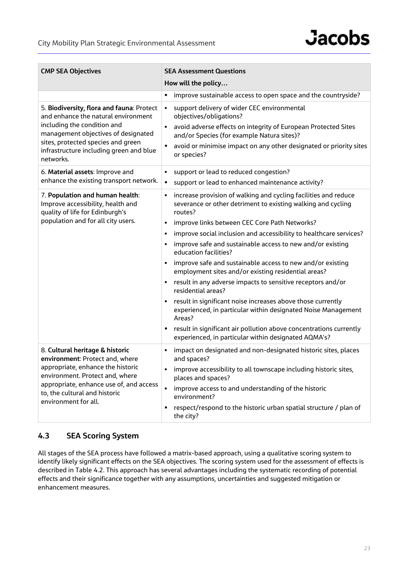

| <b>CMP SEA Objectives</b>                                                                                                                                                                                                                            | <b>SEA Assessment Questions</b><br>How will the policy                                                                                                                                                                                                                                                                                                                                                                                                                                                                                                                                                                                                                                                                                                                                                                                                              |  |  |  |  |  |
|------------------------------------------------------------------------------------------------------------------------------------------------------------------------------------------------------------------------------------------------------|---------------------------------------------------------------------------------------------------------------------------------------------------------------------------------------------------------------------------------------------------------------------------------------------------------------------------------------------------------------------------------------------------------------------------------------------------------------------------------------------------------------------------------------------------------------------------------------------------------------------------------------------------------------------------------------------------------------------------------------------------------------------------------------------------------------------------------------------------------------------|--|--|--|--|--|
|                                                                                                                                                                                                                                                      | improve sustainable access to open space and the countryside?                                                                                                                                                                                                                                                                                                                                                                                                                                                                                                                                                                                                                                                                                                                                                                                                       |  |  |  |  |  |
| 5. Biodiversity, flora and fauna: Protect<br>and enhance the natural environment<br>including the condition and<br>management objectives of designated<br>sites, protected species and green<br>infrastructure including green and blue<br>networks. | support delivery of wider CEC environmental<br>٠<br>objectives/obligations?<br>avoid adverse effects on integrity of European Protected Sites<br>and/or Species (for example Natura sites)?<br>avoid or minimise impact on any other designated or priority sites<br>٠<br>or species?                                                                                                                                                                                                                                                                                                                                                                                                                                                                                                                                                                               |  |  |  |  |  |
| 6. Material assets: Improve and<br>enhance the existing transport network.                                                                                                                                                                           | support or lead to reduced congestion?<br>٠<br>support or lead to enhanced maintenance activity?<br>٠                                                                                                                                                                                                                                                                                                                                                                                                                                                                                                                                                                                                                                                                                                                                                               |  |  |  |  |  |
| 7. Population and human health:<br>Improve accessibility, health and<br>quality of life for Edinburgh's<br>population and for all city users.                                                                                                        | increase provision of walking and cycling facilities and reduce<br>٠<br>severance or other detriment to existing walking and cycling<br>routes?<br>improve links between CEC Core Path Networks?<br>٠<br>improve social inclusion and accessibility to healthcare services?<br>٠<br>improve safe and sustainable access to new and/or existing<br>education facilities?<br>improve safe and sustainable access to new and/or existing<br>٠<br>employment sites and/or existing residential areas?<br>result in any adverse impacts to sensitive receptors and/or<br>residential areas?<br>result in significant noise increases above those currently<br>experienced, in particular within designated Noise Management<br>Areas?<br>result in significant air pollution above concentrations currently<br>٠<br>experienced, in particular within designated AQMA's? |  |  |  |  |  |
| 8. Cultural heritage & historic<br>environment: Protect and, where<br>appropriate, enhance the historic<br>environment. Protect and, where<br>appropriate, enhance use of, and access<br>to, the cultural and historic<br>environment for all.       | impact on designated and non-designated historic sites, places<br>٠<br>and spaces?<br>improve accessibility to all townscape including historic sites,<br>places and spaces?<br>improve access to and understanding of the historic<br>environment?<br>respect/respond to the historic urban spatial structure / plan of<br>٠<br>the city?                                                                                                                                                                                                                                                                                                                                                                                                                                                                                                                          |  |  |  |  |  |

## **4.3 SEA Scoring System**

All stages of the SEA process have followed a matrix-based approach, using a qualitative scoring system to identify likely significant effects on the SEA objectives. The scoring system used for the assessment of effects is described in Table 4.2. This approach has several advantages including the systematic recording of potential effects and their significance together with any assumptions, uncertainties and suggested mitigation or enhancement measures.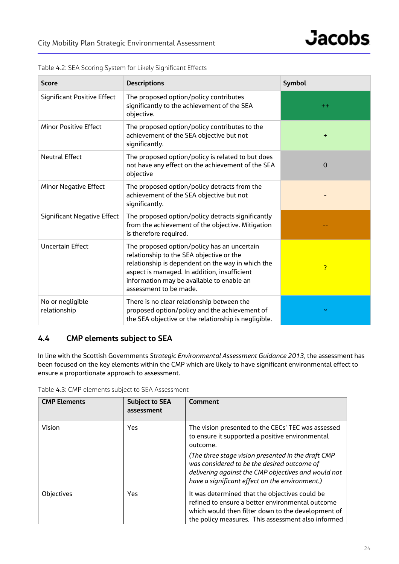| <b>Score</b>                       | <b>Descriptions</b>                                                                                                                                                                                                                                                 | Symbol    |
|------------------------------------|---------------------------------------------------------------------------------------------------------------------------------------------------------------------------------------------------------------------------------------------------------------------|-----------|
| <b>Significant Positive Effect</b> | The proposed option/policy contributes<br>significantly to the achievement of the SEA<br>objective.                                                                                                                                                                 | $+ +$     |
| <b>Minor Positive Effect</b>       | The proposed option/policy contributes to the<br>achievement of the SEA objective but not<br>significantly.                                                                                                                                                         | $\ddot{}$ |
| <b>Neutral Effect</b>              | The proposed option/policy is related to but does<br>not have any effect on the achievement of the SEA<br>objective                                                                                                                                                 | 0         |
| <b>Minor Negative Effect</b>       | The proposed option/policy detracts from the<br>achievement of the SEA objective but not<br>significantly.                                                                                                                                                          |           |
| Significant Negative Effect        | The proposed option/policy detracts significantly<br>from the achievement of the objective. Mitigation<br>is therefore required.                                                                                                                                    |           |
| <b>Uncertain Effect</b>            | The proposed option/policy has an uncertain<br>relationship to the SEA objective or the<br>relationship is dependent on the way in which the<br>aspect is managed. In addition, insufficient<br>information may be available to enable an<br>assessment to be made. | ?         |
| No or negligible<br>relationship   | There is no clear relationship between the<br>proposed option/policy and the achievement of<br>the SEA objective or the relationship is negligible.                                                                                                                 |           |

Table 4.2: SEA Scoring System for Likely Significant Effects

## **4.4 CMP elements subject to SEA**

In line with the Scottish Governments *Strategic Environmental Assessment Guidance 2013,* the assessment has been focused on the key elements within the CMP which are likely to have significant environmental effect to ensure a proportionate approach to assessment.

|  |  | Table 4.3: CMP elements subject to SEA Assessment |
|--|--|---------------------------------------------------|
|--|--|---------------------------------------------------|

| <b>CMP Elements</b> | <b>Subject to SEA</b><br>assessment | <b>Comment</b>                                                                                                                                                                                                 |  |  |  |  |
|---------------------|-------------------------------------|----------------------------------------------------------------------------------------------------------------------------------------------------------------------------------------------------------------|--|--|--|--|
| Vision              | <b>Yes</b>                          | The vision presented to the CECs' TEC was assessed<br>to ensure it supported a positive environmental<br>outcome.                                                                                              |  |  |  |  |
|                     |                                     | (The three stage vision presented in the draft CMP<br>was considered to be the desired outcome of<br>delivering against the CMP objectives and would not<br>have a significant effect on the environment.)     |  |  |  |  |
| Objectives          | <b>Yes</b>                          | It was determined that the objectives could be<br>refined to ensure a better environmental outcome<br>which would then filter down to the development of<br>the policy measures. This assessment also informed |  |  |  |  |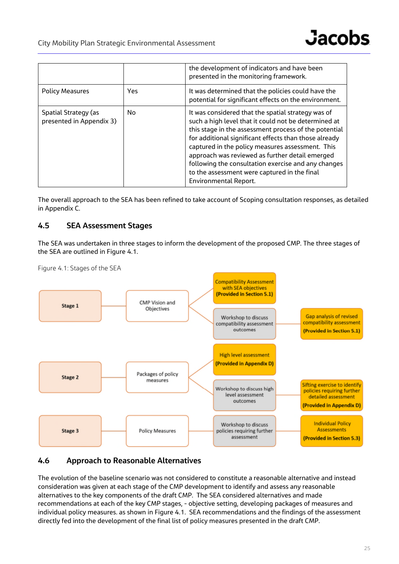|                                                  |            | the development of indicators and have been<br>presented in the monitoring framework.                                                                                                                                                                                                                                                                                                                                                                                      |
|--------------------------------------------------|------------|----------------------------------------------------------------------------------------------------------------------------------------------------------------------------------------------------------------------------------------------------------------------------------------------------------------------------------------------------------------------------------------------------------------------------------------------------------------------------|
| <b>Policy Measures</b>                           | <b>Yes</b> | It was determined that the policies could have the<br>potential for significant effects on the environment.                                                                                                                                                                                                                                                                                                                                                                |
| Spatial Strategy (as<br>presented in Appendix 3) | No         | It was considered that the spatial strategy was of<br>such a high level that it could not be determined at<br>this stage in the assessment process of the potential<br>for additional significant effects than those already<br>captured in the policy measures assessment. This<br>approach was reviewed as further detail emerged<br>following the consultation exercise and any changes<br>to the assessment were captured in the final<br><b>Environmental Report.</b> |

The overall approach to the SEA has been refined to take account of Scoping consultation responses, as detailed in Appendix C.

## **4.5 SEA Assessment Stages**

The SEA was undertaken in three stages to inform the development of the proposed CMP. The three stages of the SEA are outlined in Figure 4.1.



Figure 4.1: Stages of the SEA

## **4.6 Approach to Reasonable Alternatives**

The evolution of the baseline scenario was not considered to constitute a reasonable alternative and instead consideration was given at each stage of the CMP development to identify and assess any reasonable alternatives to the key components of the draft CMP. The SEA considered alternatives and made recommendations at each of the key CMP stages, - objective setting, developing packages of measures and individual policy measures. as shown in Figure 4.1. SEA recommendations and the findings of the assessment directly fed into the development of the final list of policy measures presented in the draft CMP.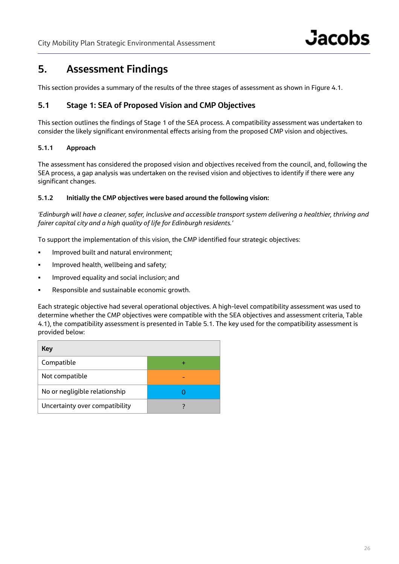## **5. Assessment Findings**

This section provides a summary of the results of the three stages of assessment as shown in Figure 4.1.

## **5.1 Stage 1: SEA of Proposed Vision and CMP Objectives**

This section outlines the findings of Stage 1 of the SEA process. A compatibility assessment was undertaken to consider the likely significant environmental effects arising from the proposed CMP vision and objectives**.**

### **5.1.1 Approach**

The assessment has considered the proposed vision and objectives received from the council, and, following the SEA process, a gap analysis was undertaken on the revised vision and objectives to identify if there were any significant changes.

#### **5.1.2 Initially the CMP objectives were based around the following vision:**

*'Edinburgh will have a cleaner, safer, inclusive and accessible transport system delivering a healthier, thriving and fairer capital city and a high quality of life for Edinburgh residents.'*

To support the implementation of this vision, the CMP identified four strategic objectives:

- **IMPROVED BUILT AND NATURE 1** Improved built and natural environment;
- Improved health, wellbeing and safety;
- **IMPROVED EQUALITY AND SOCIAL INCLUSION; AND IMM**
- Responsible and sustainable economic growth.

Each strategic objective had several operational objectives. A high-level compatibility assessment was used to determine whether the CMP objectives were compatible with the SEA objectives and assessment criteria, Table 4.1), the compatibility assessment is presented in Table 5.1. The key used for the compatibility assessment is provided below:

| Key                            |  |
|--------------------------------|--|
| Compatible                     |  |
| Not compatible                 |  |
| No or negligible relationship  |  |
| Uncertainty over compatibility |  |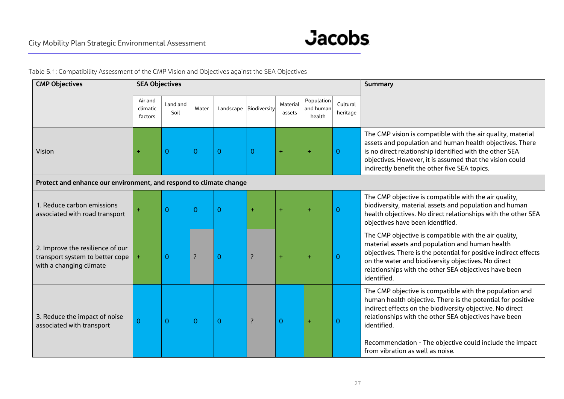

Table 5.1: Compatibility Assessment of the CMP Vision and Objectives against the SEA Objectives

| <b>CMP Objectives</b>                                                                          | <b>SEA Objectives</b>          |                  |          |                |                        |                    |                                   |                      | <b>Summary</b>                                                                                                                                                                                                                                                                                                                                             |
|------------------------------------------------------------------------------------------------|--------------------------------|------------------|----------|----------------|------------------------|--------------------|-----------------------------------|----------------------|------------------------------------------------------------------------------------------------------------------------------------------------------------------------------------------------------------------------------------------------------------------------------------------------------------------------------------------------------------|
|                                                                                                | Air and<br>climatic<br>factors | Land and<br>Soil | Water    |                | Landscape Biodiversity | Material<br>assets | Population<br>and human<br>health | Cultural<br>heritage |                                                                                                                                                                                                                                                                                                                                                            |
| Vision                                                                                         | $\ddot{}$                      | 0                | $\Omega$ | $\Omega$       | $\mathbf{0}$           | ÷                  | ÷                                 | $\Omega$             | The CMP vision is compatible with the air quality, material<br>assets and population and human health objectives. There<br>is no direct relationship identified with the other SEA<br>objectives. However, it is assumed that the vision could<br>indirectly benefit the other five SEA topics.                                                            |
| Protect and enhance our environment, and respond to climate change                             |                                |                  |          |                |                        |                    |                                   |                      |                                                                                                                                                                                                                                                                                                                                                            |
| 1. Reduce carbon emissions<br>associated with road transport                                   | $\ddot{}$                      | $\Omega$         | $\Omega$ | $\mathbf{O}$   | $\ddot{}$              | $\ddot{}$          | $\ddot{}$                         | $\Omega$             | The CMP objective is compatible with the air quality,<br>biodiversity, material assets and population and human<br>health objectives. No direct relationships with the other SEA<br>objectives have been identified.                                                                                                                                       |
| 2. Improve the resilience of our<br>transport system to better cope<br>with a changing climate |                                | $\mathbf 0$      | ?        | 0              | ?                      | ÷                  | ÷                                 | $\Omega$             | The CMP objective is compatible with the air quality,<br>material assets and population and human health<br>objectives. There is the potential for positive indirect effects<br>on the water and biodiversity objectives. No direct<br>relationships with the other SEA objectives have been<br>identified.                                                |
| 3. Reduce the impact of noise<br>associated with transport                                     | $\mathbf 0$                    | $\overline{O}$   | $\Omega$ | $\overline{0}$ | $\overline{\cdot}$     | 0                  | $\ddot{}$                         | $\overline{0}$       | The CMP objective is compatible with the population and<br>human health objective. There is the potential for positive<br>indirect effects on the biodiversity objective. No direct<br>relationships with the other SEA objectives have been<br>identified.<br>Recommendation - The objective could include the impact<br>from vibration as well as noise. |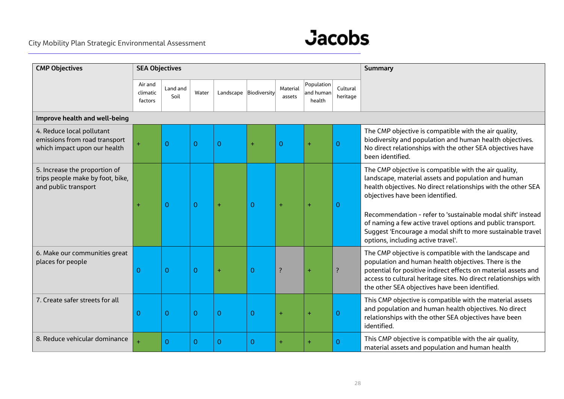## City Mobility Plan Strategic Environmental Assessment



| <b>CMP Objectives</b>                                                                      | <b>SEA Objectives</b>          |                  |                |                |                        |                    |                                   |                      | <b>Summary</b>                                                                                                                                                                                                                                                                                                                                                                                                                                       |
|--------------------------------------------------------------------------------------------|--------------------------------|------------------|----------------|----------------|------------------------|--------------------|-----------------------------------|----------------------|------------------------------------------------------------------------------------------------------------------------------------------------------------------------------------------------------------------------------------------------------------------------------------------------------------------------------------------------------------------------------------------------------------------------------------------------------|
|                                                                                            | Air and<br>climatic<br>factors | Land and<br>Soil | Water          |                | Landscape Biodiversity | Material<br>assets | Population<br>and human<br>health | Cultural<br>heritage |                                                                                                                                                                                                                                                                                                                                                                                                                                                      |
| Improve health and well-being                                                              |                                |                  |                |                |                        |                    |                                   |                      |                                                                                                                                                                                                                                                                                                                                                                                                                                                      |
| 4. Reduce local pollutant<br>emissions from road transport<br>which impact upon our health | Ŧ.                             | $\overline{0}$   | $\overline{O}$ | $\overline{0}$ | ÷                      | $\mathbf 0$        | $\ddot{}$                         | $\Omega$             | The CMP objective is compatible with the air quality,<br>biodiversity and population and human health objectives.<br>No direct relationships with the other SEA objectives have<br>been identified.                                                                                                                                                                                                                                                  |
| 5. Increase the proportion of<br>trips people make by foot, bike,<br>and public transport  | $\ddot{}$                      | $\overline{0}$   | $\overline{0}$ | ÷              | $\overline{0}$         | $\overline{1}$     |                                   | $\Omega$             | The CMP objective is compatible with the air quality,<br>landscape, material assets and population and human<br>health objectives. No direct relationships with the other SEA<br>objectives have been identified.<br>Recommendation - refer to 'sustainable modal shift' instead<br>of naming a few active travel options and public transport.<br>Suggest 'Encourage a modal shift to more sustainable travel<br>options, including active travel'. |
| 6. Make our communities great<br>places for people                                         | 0                              | $\overline{0}$   | $\overline{0}$ | ÷              | $\mathbf{0}$           | ?                  |                                   | ?                    | The CMP objective is compatible with the landscape and<br>population and human health objectives. There is the<br>potential for positive indirect effects on material assets and<br>access to cultural heritage sites. No direct relationships with<br>the other SEA objectives have been identified.                                                                                                                                                |
| 7. Create safer streets for all                                                            | $\Omega$                       | $\overline{0}$   | $\overline{0}$ | $\overline{0}$ | $\overline{0}$         | ٠                  | ÷                                 | $\Omega$             | This CMP objective is compatible with the material assets<br>and population and human health objectives. No direct<br>relationships with the other SEA objectives have been<br>identified.                                                                                                                                                                                                                                                           |
| 8. Reduce vehicular dominance                                                              |                                | $\overline{0}$   | $\mathbf 0$    | $\mathbf{0}$   | $\mathbf 0$            | ÷                  |                                   | $\Omega$             | This CMP objective is compatible with the air quality,<br>material assets and population and human health                                                                                                                                                                                                                                                                                                                                            |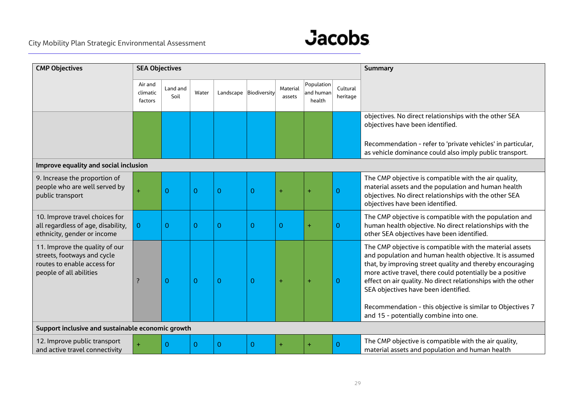## City Mobility Plan Strategic Environmental Assessment



| <b>CMP Objectives</b>                                                                                                   | <b>SEA Objectives</b>          |                  |                |                        |   |                    |                                   |                      | <b>Summary</b>                                                                                                                                                                                                                                                                                                                                                                                                                                                  |
|-------------------------------------------------------------------------------------------------------------------------|--------------------------------|------------------|----------------|------------------------|---|--------------------|-----------------------------------|----------------------|-----------------------------------------------------------------------------------------------------------------------------------------------------------------------------------------------------------------------------------------------------------------------------------------------------------------------------------------------------------------------------------------------------------------------------------------------------------------|
|                                                                                                                         | Air and<br>climatic<br>factors | Land and<br>Soil | Water          | Landscape Biodiversity |   | Material<br>assets | Population<br>and human<br>health | Cultural<br>heritage |                                                                                                                                                                                                                                                                                                                                                                                                                                                                 |
|                                                                                                                         |                                |                  |                |                        |   |                    |                                   |                      | objectives. No direct relationships with the other SEA<br>objectives have been identified.                                                                                                                                                                                                                                                                                                                                                                      |
|                                                                                                                         |                                |                  |                |                        |   |                    |                                   |                      | Recommendation - refer to 'private vehicles' in particular,<br>as vehicle dominance could also imply public transport.                                                                                                                                                                                                                                                                                                                                          |
| Improve equality and social inclusion                                                                                   |                                |                  |                |                        |   |                    |                                   |                      |                                                                                                                                                                                                                                                                                                                                                                                                                                                                 |
| 9. Increase the proportion of<br>people who are well served by<br>public transport                                      | ÷.                             | $\Omega$         | $\overline{0}$ | $\overline{0}$         | 0 | $\ddot{}$          | $\ddot{}$                         | $\mathbf{O}$         | The CMP objective is compatible with the air quality,<br>material assets and the population and human health<br>objectives. No direct relationships with the other SEA<br>objectives have been identified.                                                                                                                                                                                                                                                      |
| 10. Improve travel choices for<br>all regardless of age, disability,<br>ethnicity, gender or income                     | $\mathbf{O}$                   | $\mathbf{O}$     | $\Omega$       | $\mathbf{O}$           | 0 | $\overline{0}$     | ÷                                 | $\mathbf 0$          | The CMP objective is compatible with the population and<br>human health objective. No direct relationships with the<br>other SEA objectives have been identified.                                                                                                                                                                                                                                                                                               |
| 11. Improve the quality of our<br>streets, footways and cycle<br>routes to enable access for<br>people of all abilities |                                | $\Omega$         | $\Omega$       | $\overline{0}$         | 0 | $\ddot{}$          | $\ddot{}$                         | $\Omega$             | The CMP objective is compatible with the material assets<br>and population and human health objective. It is assumed<br>that, by improving street quality and thereby encouraging<br>more active travel, there could potentially be a positive<br>effect on air quality. No direct relationships with the other<br>SEA objectives have been identified.<br>Recommendation - this objective is similar to Objectives 7<br>and 15 - potentially combine into one. |
| Support inclusive and sustainable economic growth                                                                       |                                |                  |                |                        |   |                    |                                   |                      |                                                                                                                                                                                                                                                                                                                                                                                                                                                                 |
| 12. Improve public transport<br>and active travel connectivity                                                          | Ŧ.                             | $\mathbf{O}$     | $\Omega$       | $\mathbf{O}$           | 0 | $\ddot{}$          | $\ddot{}$                         | $\Omega$             | The CMP objective is compatible with the air quality,<br>material assets and population and human health                                                                                                                                                                                                                                                                                                                                                        |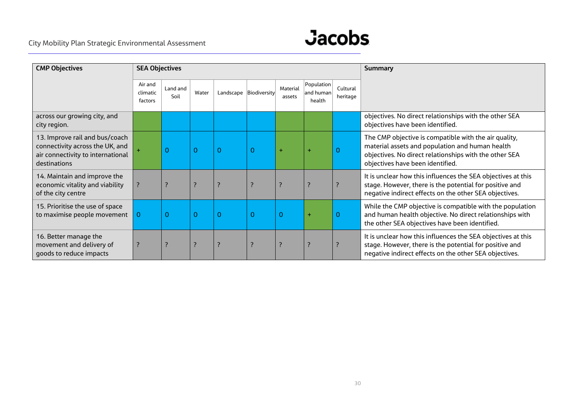

| <b>CMP Objectives</b>                                                                                                  | <b>SEA Objectives</b>          |                    |                    |                |                        |                    |                                   | Summary              |                                                                                                                                                                                                        |
|------------------------------------------------------------------------------------------------------------------------|--------------------------------|--------------------|--------------------|----------------|------------------------|--------------------|-----------------------------------|----------------------|--------------------------------------------------------------------------------------------------------------------------------------------------------------------------------------------------------|
|                                                                                                                        | Air and<br>climatic<br>factors | Land and<br>Soil   | Water              |                | Landscape Biodiversity | Material<br>assets | Population<br>and human<br>health | Cultural<br>heritage |                                                                                                                                                                                                        |
| across our growing city, and<br>city region.                                                                           |                                |                    |                    |                |                        |                    |                                   |                      | objectives. No direct relationships with the other SEA<br>objectives have been identified.                                                                                                             |
| 13. Improve rail and bus/coach<br>connectivity across the UK, and<br>air connectivity to international<br>destinations |                                | $\overline{0}$     | $\overline{0}$     | $\mathbf{0}$   | $\Omega$               |                    |                                   | $\Omega$             | The CMP objective is compatible with the air quality,<br>material assets and population and human health<br>objectives. No direct relationships with the other SEA<br>objectives have been identified. |
| 14. Maintain and improve the<br>economic vitality and viability<br>of the city centre                                  |                                | ?                  | ?                  | 7              |                        | ?                  |                                   |                      | It is unclear how this influences the SEA objectives at this<br>stage. However, there is the potential for positive and<br>negative indirect effects on the other SEA objectives.                      |
| 15. Prioritise the use of space<br>to maximise people movement                                                         | $\Omega$                       | $\overline{O}$     | $\overline{0}$     | $\overline{0}$ | 0                      | $\Omega$           | $\ddot{}$                         | $\Omega$             | While the CMP objective is compatible with the population<br>and human health objective. No direct relationships with<br>the other SEA objectives have been identified.                                |
| 16. Better manage the<br>movement and delivery of<br>goods to reduce impacts                                           |                                | $\overline{\cdot}$ | $\overline{\cdot}$ | ?              |                        | 3                  |                                   |                      | It is unclear how this influences the SEA objectives at this<br>stage. However, there is the potential for positive and<br>negative indirect effects on the other SEA objectives.                      |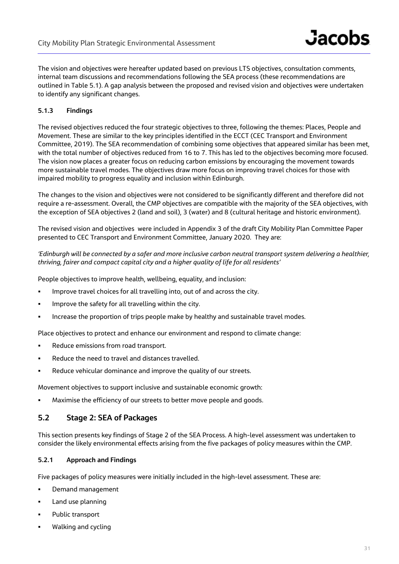The vision and objectives were hereafter updated based on previous LTS objectives, consultation comments, internal team discussions and recommendations following the SEA process (these recommendations are outlined in Table 5.1). A gap analysis between the proposed and revised vision and objectives were undertaken to identify any significant changes.

#### **5.1.3 Findings**

The revised objectives reduced the four strategic objectives to three, following the themes: Places, People and Movement. These are similar to the key principles identified in the ECCT (CEC Transport and Environment Committee, 2019). The SEA recommendation of combining some objectives that appeared similar has been met, with the total number of objectives reduced from 16 to 7. This has led to the objectives becoming more focused. The vision now places a greater focus on reducing carbon emissions by encouraging the movement towards more sustainable travel modes. The objectives draw more focus on improving travel choices for those with impaired mobility to progress equality and inclusion within Edinburgh.

The changes to the vision and objectives were not considered to be significantly different and therefore did not require a re-assessment. Overall, the CMP objectives are compatible with the majority of the SEA objectives, with the exception of SEA objectives 2 (land and soil), 3 (water) and 8 (cultural heritage and historic environment).

The revised vision and objectives were included in Appendix 3 of the draft City Mobility Plan Committee Paper presented to CEC Transport and Environment Committee, January 2020. They are:

#### *'Edinburgh will be connected by a safer and more inclusive carbon neutral transport system delivering a healthier, thriving, fairer and compact capital city and a higher quality of life for all residents'*

People objectives to improve health, wellbeing, equality, and inclusion:

- **IMPROVE TRAVEL CHOICES FOR ALL TRAVELLING INTO LOTAL DATA ACTOR AND THE CITY.**
- **IMPROVE the safety for all travelling within the city.**
- Increase the proportion of trips people make by healthy and sustainable travel modes.

Place objectives to protect and enhance our environment and respond to climate change:

- Reduce emissions from road transport.
- **Reduce the need to travel and distances travelled.**
- Reduce vehicular dominance and improve the quality of our streets.

Movement objectives to support inclusive and sustainable economic growth:

Maximise the efficiency of our streets to better move people and goods.

## **5.2 Stage 2: SEA of Packages**

This section presents key findings of Stage 2 of the SEA Process. A high-level assessment was undertaken to consider the likely environmental effects arising from the five packages of policy measures within the CMP.

#### **5.2.1 Approach and Findings**

Five packages of policy measures were initially included in the high-level assessment. These are:

- **•** Demand management
- **Land use planning**
- **•** Public transport
- Walking and cycling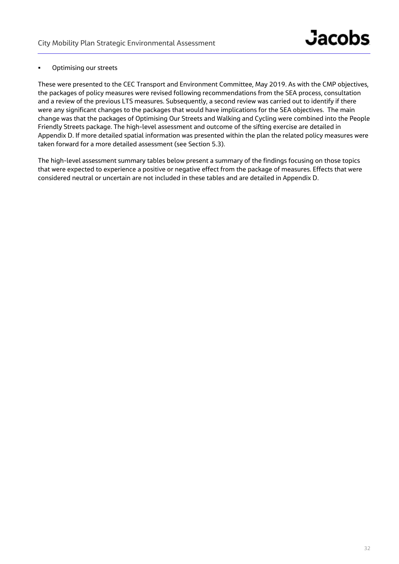#### **•** Optimising our streets

These were presented to the CEC Transport and Environment Committee, May 2019. As with the CMP objectives, the packages of policy measures were revised following recommendations from the SEA process, consultation and a review of the previous LTS measures. Subsequently, a second review was carried out to identify if there were any significant changes to the packages that would have implications for the SEA objectives. The main change was that the packages of Optimising Our Streets and Walking and Cycling were combined into the People Friendly Streets package. The high-level assessment and outcome of the sifting exercise are detailed in Appendix D. If more detailed spatial information was presented within the plan the related policy measures were taken forward for a more detailed assessment (see Section 5.3).

The high-level assessment summary tables below present a summary of the findings focusing on those topics that were expected to experience a positive or negative effect from the package of measures. Effects that were considered neutral or uncertain are not included in these tables and are detailed in Appendix D.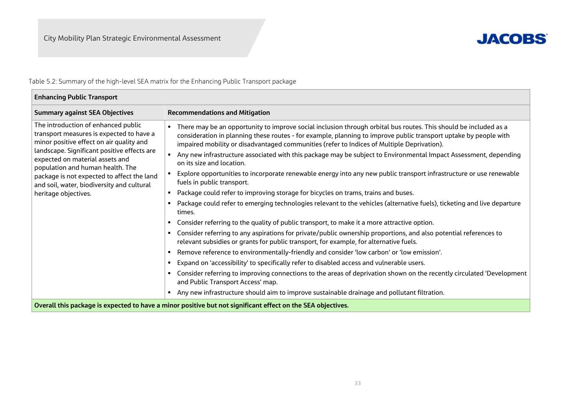$\mathbf{r}$ 



Table 5.2: Summary of the high-level SEA matrix for the Enhancing Public Transport package

| <b>Enhancing Public Transport</b>                                                                                                                                                                                                                                                                                                             |                                                                                                                                                                                                                                                                                                                                    |  |  |  |  |
|-----------------------------------------------------------------------------------------------------------------------------------------------------------------------------------------------------------------------------------------------------------------------------------------------------------------------------------------------|------------------------------------------------------------------------------------------------------------------------------------------------------------------------------------------------------------------------------------------------------------------------------------------------------------------------------------|--|--|--|--|
| <b>Summary against SEA Objectives</b>                                                                                                                                                                                                                                                                                                         | <b>Recommendations and Mitigation</b>                                                                                                                                                                                                                                                                                              |  |  |  |  |
| The introduction of enhanced public<br>transport measures is expected to have a<br>minor positive effect on air quality and<br>landscape. Significant positive effects are<br>expected on material assets and<br>population and human health. The<br>package is not expected to affect the land<br>and soil, water, biodiversity and cultural | There may be an opportunity to improve social inclusion through orbital bus routes. This should be included as a<br>consideration in planning these routes - for example, planning to improve public transport uptake by people with<br>impaired mobility or disadvantaged communities (refer to Indices of Multiple Deprivation). |  |  |  |  |
|                                                                                                                                                                                                                                                                                                                                               | Any new infrastructure associated with this package may be subject to Environmental Impact Assessment, depending<br>on its size and location.                                                                                                                                                                                      |  |  |  |  |
|                                                                                                                                                                                                                                                                                                                                               | Explore opportunities to incorporate renewable energy into any new public transport infrastructure or use renewable<br>fuels in public transport.                                                                                                                                                                                  |  |  |  |  |
| heritage objectives.                                                                                                                                                                                                                                                                                                                          | Package could refer to improving storage for bicycles on trams, trains and buses.                                                                                                                                                                                                                                                  |  |  |  |  |
|                                                                                                                                                                                                                                                                                                                                               | Package could refer to emerging technologies relevant to the vehicles (alternative fuels), ticketing and live departure<br>times.                                                                                                                                                                                                  |  |  |  |  |
|                                                                                                                                                                                                                                                                                                                                               | Consider referring to the quality of public transport, to make it a more attractive option.                                                                                                                                                                                                                                        |  |  |  |  |
|                                                                                                                                                                                                                                                                                                                                               | Consider referring to any aspirations for private/public ownership proportions, and also potential references to<br>relevant subsidies or grants for public transport, for example, for alternative fuels.                                                                                                                         |  |  |  |  |
|                                                                                                                                                                                                                                                                                                                                               | Remove reference to environmentally-friendly and consider 'low carbon' or 'low emission'.                                                                                                                                                                                                                                          |  |  |  |  |
|                                                                                                                                                                                                                                                                                                                                               | Expand on 'accessibility' to specifically refer to disabled access and vulnerable users.<br>٠                                                                                                                                                                                                                                      |  |  |  |  |
|                                                                                                                                                                                                                                                                                                                                               | Consider referring to improving connections to the areas of deprivation shown on the recently circulated 'Development<br>and Public Transport Access' map.                                                                                                                                                                         |  |  |  |  |
|                                                                                                                                                                                                                                                                                                                                               | Any new infrastructure should aim to improve sustainable drainage and pollutant filtration.                                                                                                                                                                                                                                        |  |  |  |  |
| Overall this package is expected to have a minor positive but not significant effect on the SEA objectives.                                                                                                                                                                                                                                   |                                                                                                                                                                                                                                                                                                                                    |  |  |  |  |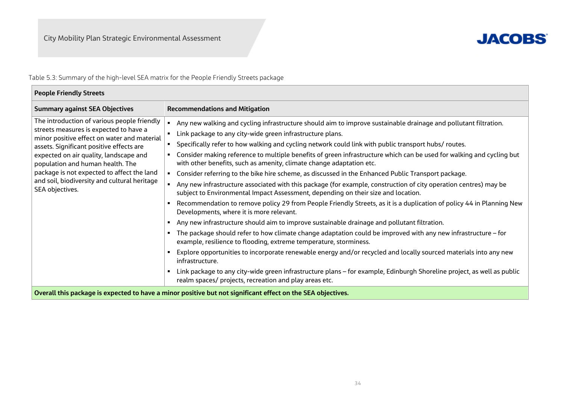

Table 5.3: Summary of the high-level SEA matrix for the People Friendly Streets package

| <b>People Friendly Streets</b>                                                                                                                                                                                                                                                                                                                                                  |                                                                                                                                                                                                                                                                                                                                                                                                                                                                                                                                                                                                                                                                                                                                                                                                                                                                                                                                                                                                                                                                                                                                                                                                                                                                                                                                                                                                                                                                                                                                                                                           |
|---------------------------------------------------------------------------------------------------------------------------------------------------------------------------------------------------------------------------------------------------------------------------------------------------------------------------------------------------------------------------------|-------------------------------------------------------------------------------------------------------------------------------------------------------------------------------------------------------------------------------------------------------------------------------------------------------------------------------------------------------------------------------------------------------------------------------------------------------------------------------------------------------------------------------------------------------------------------------------------------------------------------------------------------------------------------------------------------------------------------------------------------------------------------------------------------------------------------------------------------------------------------------------------------------------------------------------------------------------------------------------------------------------------------------------------------------------------------------------------------------------------------------------------------------------------------------------------------------------------------------------------------------------------------------------------------------------------------------------------------------------------------------------------------------------------------------------------------------------------------------------------------------------------------------------------------------------------------------------------|
| <b>Summary against SEA Objectives</b>                                                                                                                                                                                                                                                                                                                                           | <b>Recommendations and Mitigation</b>                                                                                                                                                                                                                                                                                                                                                                                                                                                                                                                                                                                                                                                                                                                                                                                                                                                                                                                                                                                                                                                                                                                                                                                                                                                                                                                                                                                                                                                                                                                                                     |
| The introduction of various people friendly<br>streets measures is expected to have a<br>minor positive effect on water and material<br>assets. Significant positive effects are<br>expected on air quality, landscape and<br>population and human health. The<br>package is not expected to affect the land<br>and soil, biodiversity and cultural heritage<br>SEA objectives. | Any new walking and cycling infrastructure should aim to improve sustainable drainage and pollutant filtration.<br>Link package to any city-wide green infrastructure plans.<br>" Specifically refer to how walking and cycling network could link with public transport hubs/ routes.<br>Consider making reference to multiple benefits of green infrastructure which can be used for walking and cycling but<br>with other benefits, such as amenity, climate change adaptation etc.<br>Consider referring to the bike hire scheme, as discussed in the Enhanced Public Transport package.<br>Any new infrastructure associated with this package (for example, construction of city operation centres) may be<br>subject to Environmental Impact Assessment, depending on their size and location.<br>Recommendation to remove policy 29 from People Friendly Streets, as it is a duplication of policy 44 in Planning New<br>Developments, where it is more relevant.<br>Any new infrastructure should aim to improve sustainable drainage and pollutant filtration.<br>The package should refer to how climate change adaptation could be improved with any new infrastructure – for<br>example, resilience to flooding, extreme temperature, storminess.<br>Explore opportunities to incorporate renewable energy and/or recycled and locally sourced materials into any new<br>infrastructure.<br>Link package to any city-wide green infrastructure plans – for example, Edinburgh Shoreline project, as well as public<br>realm spaces/ projects, recreation and play areas etc. |
|                                                                                                                                                                                                                                                                                                                                                                                 | Overall this package is expected to have a minor positive but not significant effect on the SEA objectives.                                                                                                                                                                                                                                                                                                                                                                                                                                                                                                                                                                                                                                                                                                                                                                                                                                                                                                                                                                                                                                                                                                                                                                                                                                                                                                                                                                                                                                                                               |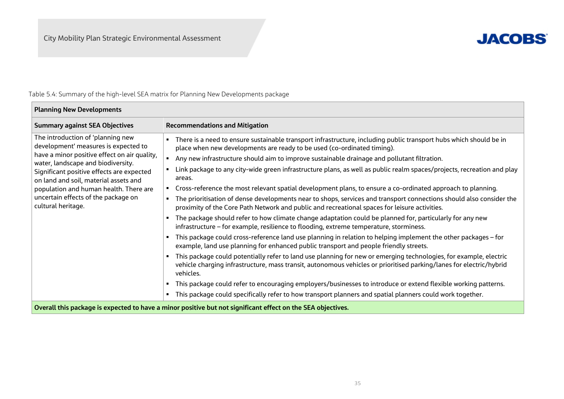$\overline{\phantom{a}}$ 



## Table 5.4: Summary of the high-level SEA matrix for Planning New Developments package

| <b>Planning New Developments</b>                                                                                                                                                                                                                                                                                                                             |                                                                                                                                                                                                                                                                                                                                                                                                                                                                                                                                                                                                                                                                                                                                                                                                                                                                                                                                                                                                                                                                                                                                                                                                                                                                                                                                                                                                                                                                                                                                                                                                                                                                                  |  |  |  |  |  |  |
|--------------------------------------------------------------------------------------------------------------------------------------------------------------------------------------------------------------------------------------------------------------------------------------------------------------------------------------------------------------|----------------------------------------------------------------------------------------------------------------------------------------------------------------------------------------------------------------------------------------------------------------------------------------------------------------------------------------------------------------------------------------------------------------------------------------------------------------------------------------------------------------------------------------------------------------------------------------------------------------------------------------------------------------------------------------------------------------------------------------------------------------------------------------------------------------------------------------------------------------------------------------------------------------------------------------------------------------------------------------------------------------------------------------------------------------------------------------------------------------------------------------------------------------------------------------------------------------------------------------------------------------------------------------------------------------------------------------------------------------------------------------------------------------------------------------------------------------------------------------------------------------------------------------------------------------------------------------------------------------------------------------------------------------------------------|--|--|--|--|--|--|
| <b>Summary against SEA Objectives</b>                                                                                                                                                                                                                                                                                                                        | <b>Recommendations and Mitigation</b>                                                                                                                                                                                                                                                                                                                                                                                                                                                                                                                                                                                                                                                                                                                                                                                                                                                                                                                                                                                                                                                                                                                                                                                                                                                                                                                                                                                                                                                                                                                                                                                                                                            |  |  |  |  |  |  |
| The introduction of 'planning new<br>development' measures is expected to<br>have a minor positive effect on air quality,<br>water, landscape and biodiversity.<br>Significant positive effects are expected<br>on land and soil, material assets and<br>population and human health. There are<br>uncertain effects of the package on<br>cultural heritage. | There is a need to ensure sustainable transport infrastructure, including public transport hubs which should be in<br>place when new developments are ready to be used (co-ordinated timing).<br>Any new infrastructure should aim to improve sustainable drainage and pollutant filtration.<br>Link package to any city-wide green infrastructure plans, as well as public realm spaces/projects, recreation and play<br>areas.<br>Cross-reference the most relevant spatial development plans, to ensure a co-ordinated approach to planning.<br>The prioritisation of dense developments near to shops, services and transport connections should also consider the<br>proximity of the Core Path Network and public and recreational spaces for leisure activities.<br>The package should refer to how climate change adaptation could be planned for, particularly for any new<br>infrastructure - for example, resilience to flooding, extreme temperature, storminess.<br>This package could cross-reference land use planning in relation to helping implement the other packages - for<br>example, land use planning for enhanced public transport and people friendly streets.<br>This package could potentially refer to land use planning for new or emerging technologies, for example, electric<br>vehicle charging infrastructure, mass transit, autonomous vehicles or prioritised parking/lanes for electric/hybrid<br>vehicles.<br>This package could refer to encouraging employers/businesses to introduce or extend flexible working patterns.<br>This package could specifically refer to how transport planners and spatial planners could work together. |  |  |  |  |  |  |
| Overall this package is expected to have a minor positive but not significant effect on the SEA objectives.                                                                                                                                                                                                                                                  |                                                                                                                                                                                                                                                                                                                                                                                                                                                                                                                                                                                                                                                                                                                                                                                                                                                                                                                                                                                                                                                                                                                                                                                                                                                                                                                                                                                                                                                                                                                                                                                                                                                                                  |  |  |  |  |  |  |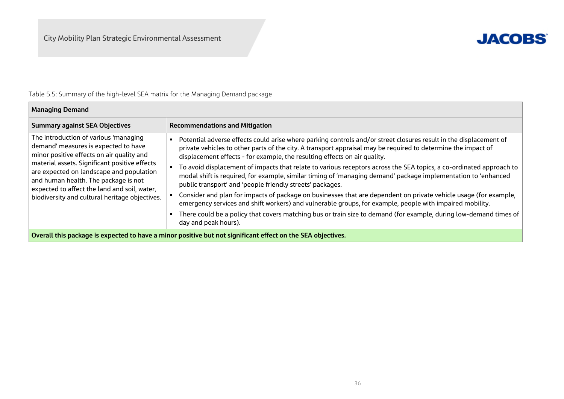

## Table 5.5: Summary of the high-level SEA matrix for the Managing Demand package

| <b>Managing Demand</b>                                                                                                                                                                                                                                                                                                                                            |                                                                                                                                                                                                                                                                                                                                                                                                                                                                                                                                                                                                                      |  |  |  |  |
|-------------------------------------------------------------------------------------------------------------------------------------------------------------------------------------------------------------------------------------------------------------------------------------------------------------------------------------------------------------------|----------------------------------------------------------------------------------------------------------------------------------------------------------------------------------------------------------------------------------------------------------------------------------------------------------------------------------------------------------------------------------------------------------------------------------------------------------------------------------------------------------------------------------------------------------------------------------------------------------------------|--|--|--|--|
| <b>Summary against SEA Objectives</b>                                                                                                                                                                                                                                                                                                                             | <b>Recommendations and Mitigation</b>                                                                                                                                                                                                                                                                                                                                                                                                                                                                                                                                                                                |  |  |  |  |
| The introduction of various 'managing<br>demand' measures is expected to have<br>minor positive effects on air quality and<br>material assets. Significant positive effects<br>are expected on landscape and population<br>and human health. The package is not<br>expected to affect the land and soil, water,<br>biodiversity and cultural heritage objectives. | Potential adverse effects could arise where parking controls and/or street closures result in the displacement of<br>private vehicles to other parts of the city. A transport appraisal may be required to determine the impact of<br>displacement effects - for example, the resulting effects on air quality.<br>To avoid displacement of impacts that relate to various receptors across the SEA topics, a co-ordinated approach to<br>modal shift is required, for example, similar timing of 'managing demand' package implementation to 'enhanced<br>public transport' and 'people friendly streets' packages. |  |  |  |  |
|                                                                                                                                                                                                                                                                                                                                                                   | Consider and plan for impacts of package on businesses that are dependent on private vehicle usage (for example,<br>emergency services and shift workers) and vulnerable groups, for example, people with impaired mobility.                                                                                                                                                                                                                                                                                                                                                                                         |  |  |  |  |
|                                                                                                                                                                                                                                                                                                                                                                   | There could be a policy that covers matching bus or train size to demand (for example, during low-demand times of<br>day and peak hours).                                                                                                                                                                                                                                                                                                                                                                                                                                                                            |  |  |  |  |
| Overall this package is expected to have a minor positive but not significant effect on the SEA objectives.                                                                                                                                                                                                                                                       |                                                                                                                                                                                                                                                                                                                                                                                                                                                                                                                                                                                                                      |  |  |  |  |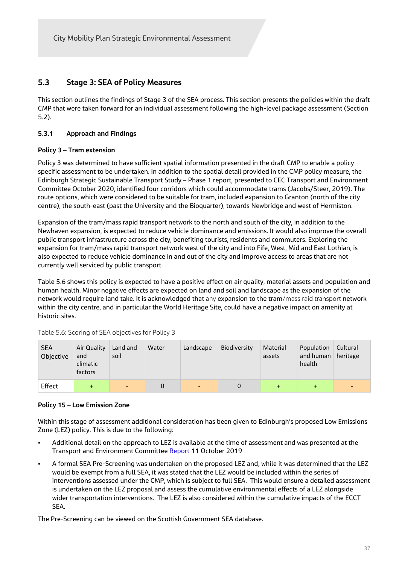## **5.3 Stage 3: SEA of Policy Measures**

This section outlines the findings of Stage 3 of the SEA process. This section presents the policies within the draft CMP that were taken forward for an individual assessment following the high-level package assessment (Section 5.2).

### **5.3.1 Approach and Findings**

#### **Policy 3 – Tram extension**

Policy 3 was determined to have sufficient spatial information presented in the draft CMP to enable a policy specific assessment to be undertaken. In addition to the spatial detail provided in the CMP policy measure, the Edinburgh Strategic Sustainable Transport Study – Phase 1 report, presented to CEC Transport and Environment Committee October 2020, identified four corridors which could accommodate trams (Jacobs/Steer, 2019). The route options, which were considered to be suitable for tram, included expansion to Granton (north of the city centre), the south-east (past the University and the Bioquarter), towards Newbridge and west of Hermiston.

Expansion of the tram/mass rapid transport network to the north and south of the city, in addition to the Newhaven expansion, is expected to reduce vehicle dominance and emissions. It would also improve the overall public transport infrastructure across the city, benefiting tourists, residents and commuters. Exploring the expansion for tram/mass rapid transport network west of the city and into Fife, West, Mid and East Lothian, is also expected to reduce vehicle dominance in and out of the city and improve access to areas that are not currently well serviced by public transport.

Table 5.6 shows this policy is expected to have a positive effect on air quality, material assets and population and human health. Minor negative effects are expected on land and soil and landscape as the expansion of the network would require land take. It is acknowledged that any expansion to the tram/mass raid transport network within the city centre, and in particular the World Heritage Site, could have a negative impact on amenity at historic sites.

| <b>SEA</b><br>Objective | Air Quality<br>and<br>climatic<br>factors | Land and<br>soil         | Water | Landscape      | Biodiversity | Material<br>assets | Population<br>and human<br>health | Cultural<br>heritage |
|-------------------------|-------------------------------------------|--------------------------|-------|----------------|--------------|--------------------|-----------------------------------|----------------------|
| Effect                  | $+$                                       | $\overline{\phantom{0}}$ | 0     | $\blacksquare$ | 0            |                    | $\div$                            |                      |

Table 5.6: Scoring of SEA objectives for Policy 3

#### **Policy 15 – Low Emission Zone**

Within this stage of assessment additional consideration has been given to Edinburgh's proposed Low Emissions Zone (LEZ) policy. This is due to the following:

- Additional detail on the approach to LEZ is available at the time of assessment and was presented at the Transport and Environment Committee Report 11 October 2019
- A formal SEA Pre-Screening was undertaken on the proposed LEZ and, while it was determined that the LEZ would be exempt from a full SEA, it was stated that the LEZ would be included within the series of interventions assessed under the CMP, which is subject to full SEA. This would ensure a detailed assessment is undertaken on the LEZ proposal and assess the cumulative environmental effects of a LEZ alongside wider transportation interventions. The LEZ is also considered within the cumulative impacts of the ECCT SEA.

The Pre-Screening can be viewed on the Scottish Government SEA database.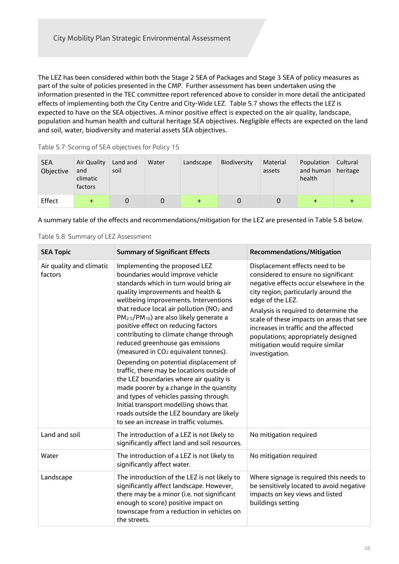The LEZ has been considered within both the Stage 2 SEA of Packages and Stage 3 SEA of policy measures as part of the suite of policies presented in the CMP. Further assessment has been undertaken using the information presented in the TEC committee report referenced above to consider in more detail the anticipated effects of implementing both the City Centre and City-Wide LEZ. Table 5.7 shows the effects the LEZ is expected to have on the SEA objectives. A minor positive effect is expected on the air quality, landscape, population and human health and cultural heritage SEA objectives. Negligible effects are expected on the land and soil, water, biodiversity and material assets SEA objectives.

| <b>SEA</b><br>Objective | Air Quality<br>and<br>climatic<br>factors | Land and<br>soil | Water | Landscape | Biodiversity | Material<br>assets | Population<br>and human<br>health | Cultural<br>heritage |
|-------------------------|-------------------------------------------|------------------|-------|-----------|--------------|--------------------|-----------------------------------|----------------------|
| Effect                  |                                           |                  |       |           |              |                    |                                   |                      |

Table 5.7: Scoring of SEA objectives for Policy 15

A summary table of the effects and recommendations/mitigation for the LEZ are presented in Table 5.8 below.

|  |  |  | Table 5.8: Summary of LEZ Assessment |
|--|--|--|--------------------------------------|
|--|--|--|--------------------------------------|

| <b>SEA Topic</b>                    | <b>Summary of Significant Effects</b>                                                                                                                                                                                                                                                                                                                                                                                                                                                                                                                                                                                                                                                                                                                                                                                                                    | <b>Recommendations/Mitigation</b>                                                                                                                                                                                                                                                                                                                                                                        |
|-------------------------------------|----------------------------------------------------------------------------------------------------------------------------------------------------------------------------------------------------------------------------------------------------------------------------------------------------------------------------------------------------------------------------------------------------------------------------------------------------------------------------------------------------------------------------------------------------------------------------------------------------------------------------------------------------------------------------------------------------------------------------------------------------------------------------------------------------------------------------------------------------------|----------------------------------------------------------------------------------------------------------------------------------------------------------------------------------------------------------------------------------------------------------------------------------------------------------------------------------------------------------------------------------------------------------|
| Air quality and climatic<br>factors | Implementing the proposed LEZ<br>boundaries would improve vehicle<br>standards which in turn would bring air<br>quality improvements and health &<br>wellbeing improvements. Interventions<br>that reduce local air pollution (NO <sub>2</sub> and<br>PM <sub>2.5</sub> /PM <sub>10</sub> ) are also likely generate a<br>positive effect on reducing factors<br>contributing to climate change through<br>reduced greenhouse gas emissions<br>(measured in CO <sub>2</sub> equivalent tonnes).<br>Depending on potential displacement of<br>traffic, there may be locations outside of<br>the LEZ boundaries where air quality is<br>made poorer by a change in the quantity<br>and types of vehicles passing through.<br>Initial transport modelling shows that<br>roads outside the LEZ boundary are likely<br>to see an increase in traffic volumes. | Displacement effects need to be<br>considered to ensure no significant<br>negative effects occur elsewhere in the<br>city region, particularly around the<br>edge of the LEZ.<br>Analysis is required to determine the<br>scale of these impacts on areas that see<br>increases in traffic and the affected<br>populations; appropriately designed<br>mitigation would require similar<br>investigation. |
| Land and soil                       | The introduction of a LEZ is not likely to<br>significantly affect land and soil resources.                                                                                                                                                                                                                                                                                                                                                                                                                                                                                                                                                                                                                                                                                                                                                              | No mitigation required                                                                                                                                                                                                                                                                                                                                                                                   |
| Water                               | The introduction of a LEZ is not likely to<br>significantly affect water.                                                                                                                                                                                                                                                                                                                                                                                                                                                                                                                                                                                                                                                                                                                                                                                | No mitigation required                                                                                                                                                                                                                                                                                                                                                                                   |
| Landscape                           | The introduction of the LEZ is not likely to<br>significantly affect landscape. However,<br>there may be a minor (i.e. not significant<br>enough to score) positive impact on<br>townscape from a reduction in vehicles on<br>the streets.                                                                                                                                                                                                                                                                                                                                                                                                                                                                                                                                                                                                               | Where signage is required this needs to<br>be sensitively located to avoid negative<br>impacts on key views and listed<br>buildings setting                                                                                                                                                                                                                                                              |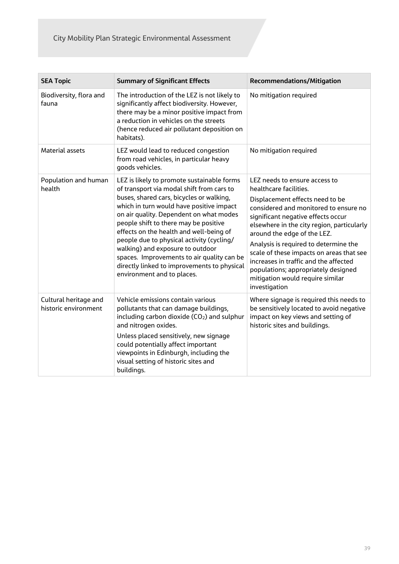| <b>SEA Topic</b>                              | <b>Summary of Significant Effects</b>                                                                                                                                                                                                                                                                                                                                                                                                                                                                                      | <b>Recommendations/Mitigation</b>                                                                                                                                                                                                                                                                                                                                                                                                                                                |
|-----------------------------------------------|----------------------------------------------------------------------------------------------------------------------------------------------------------------------------------------------------------------------------------------------------------------------------------------------------------------------------------------------------------------------------------------------------------------------------------------------------------------------------------------------------------------------------|----------------------------------------------------------------------------------------------------------------------------------------------------------------------------------------------------------------------------------------------------------------------------------------------------------------------------------------------------------------------------------------------------------------------------------------------------------------------------------|
| Biodiversity, flora and<br>fauna              | The introduction of the LEZ is not likely to<br>significantly affect biodiversity. However,<br>there may be a minor positive impact from<br>a reduction in vehicles on the streets<br>(hence reduced air pollutant deposition on<br>habitats).                                                                                                                                                                                                                                                                             | No mitigation required                                                                                                                                                                                                                                                                                                                                                                                                                                                           |
| <b>Material assets</b>                        | LEZ would lead to reduced congestion<br>from road vehicles, in particular heavy<br>goods vehicles.                                                                                                                                                                                                                                                                                                                                                                                                                         | No mitigation required                                                                                                                                                                                                                                                                                                                                                                                                                                                           |
| Population and human<br>health                | LEZ is likely to promote sustainable forms<br>of transport via modal shift from cars to<br>buses, shared cars, bicycles or walking,<br>which in turn would have positive impact<br>on air quality. Dependent on what modes<br>people shift to there may be positive<br>effects on the health and well-being of<br>people due to physical activity (cycling/<br>walking) and exposure to outdoor<br>spaces. Improvements to air quality can be<br>directly linked to improvements to physical<br>environment and to places. | LEZ needs to ensure access to<br>healthcare facilities.<br>Displacement effects need to be<br>considered and monitored to ensure no<br>significant negative effects occur<br>elsewhere in the city region, particularly<br>around the edge of the LEZ.<br>Analysis is required to determine the<br>scale of these impacts on areas that see<br>increases in traffic and the affected<br>populations; appropriately designed<br>mitigation would require similar<br>investigation |
| Cultural heritage and<br>historic environment | Vehicle emissions contain various<br>pollutants that can damage buildings,<br>including carbon dioxide (CO <sub>2</sub> ) and sulphur<br>and nitrogen oxides.<br>Unless placed sensitively, new signage<br>could potentially affect important<br>viewpoints in Edinburgh, including the<br>visual setting of historic sites and<br>buildings.                                                                                                                                                                              | Where signage is required this needs to<br>be sensitively located to avoid negative<br>impact on key views and setting of<br>historic sites and buildings.                                                                                                                                                                                                                                                                                                                       |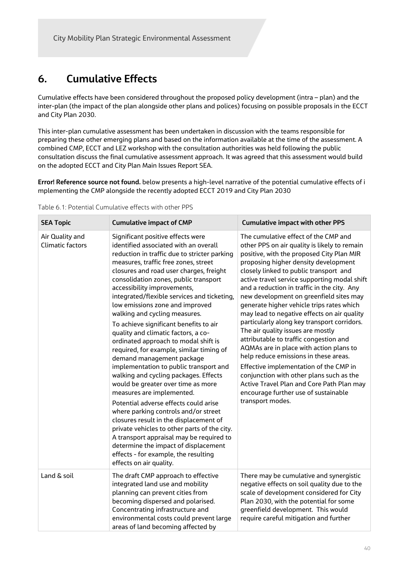## **6. Cumulative Effects**

Cumulative effects have been considered throughout the proposed policy development (intra – plan) and the inter-plan (the impact of the plan alongside other plans and polices) focusing on possible proposals in the ECCT and City Plan 2030.

This inter-plan cumulative assessment has been undertaken in discussion with the teams responsible for preparing these other emerging plans and based on the information available at the time of the assessment. A combined CMP, ECCT and LEZ workshop with the consultation authorities was held following the public consultation discuss the final cumulative assessment approach. It was agreed that this assessment would build on the adopted ECCT and City Plan Main Issues Report SEA.

**Error! Reference source not found.** below presents a high-level narrative of the potential cumulative effects of i mplementing the CMP alongside the recently adopted ECCT 2019 and City Plan 2030

| <b>SEA Topic</b>                           | <b>Cumulative impact of CMP</b>                                                                                                                                                                                                                                                                                                                                                                                                                                                                                                                                                                                                                                                                                                                                                                                                                                                                                                                                                                                                                                                                    | <b>Cumulative impact with other PPS</b>                                                                                                                                                                                                                                                                                                                                                                                                                                                                                                                                                                                                                                                                                                                                                                                                                                                                                                                              |  |
|--------------------------------------------|----------------------------------------------------------------------------------------------------------------------------------------------------------------------------------------------------------------------------------------------------------------------------------------------------------------------------------------------------------------------------------------------------------------------------------------------------------------------------------------------------------------------------------------------------------------------------------------------------------------------------------------------------------------------------------------------------------------------------------------------------------------------------------------------------------------------------------------------------------------------------------------------------------------------------------------------------------------------------------------------------------------------------------------------------------------------------------------------------|----------------------------------------------------------------------------------------------------------------------------------------------------------------------------------------------------------------------------------------------------------------------------------------------------------------------------------------------------------------------------------------------------------------------------------------------------------------------------------------------------------------------------------------------------------------------------------------------------------------------------------------------------------------------------------------------------------------------------------------------------------------------------------------------------------------------------------------------------------------------------------------------------------------------------------------------------------------------|--|
| Air Quality and<br><b>Climatic factors</b> | Significant positive effects were<br>identified associated with an overall<br>reduction in traffic due to stricter parking<br>measures, traffic free zones, street<br>closures and road user charges, freight<br>consolidation zones, public transport<br>accessibility improvements,<br>integrated/flexible services and ticketing,<br>low emissions zone and improved<br>walking and cycling measures.<br>To achieve significant benefits to air<br>quality and climatic factors, a co-<br>ordinated approach to modal shift is<br>required, for example, similar timing of<br>demand management package<br>implementation to public transport and<br>walking and cycling packages. Effects<br>would be greater over time as more<br>measures are implemented.<br>Potential adverse effects could arise<br>where parking controls and/or street<br>closures result in the displacement of<br>private vehicles to other parts of the city.<br>A transport appraisal may be required to<br>determine the impact of displacement<br>effects - for example, the resulting<br>effects on air quality. | The cumulative effect of the CMP and<br>other PPS on air quality is likely to remain<br>positive, with the proposed City Plan MIR<br>proposing higher density development<br>closely linked to public transport and<br>active travel service supporting modal shift<br>and a reduction in traffic in the city. Any<br>new development on greenfield sites may<br>generate higher vehicle trips rates which<br>may lead to negative effects on air quality<br>particularly along key transport corridors.<br>The air quality issues are mostly<br>attributable to traffic congestion and<br>AQMAs are in place with action plans to<br>help reduce emissions in these areas.<br>Effective implementation of the CMP in<br>conjunction with other plans such as the<br>Active Travel Plan and Core Path Plan may<br>encourage further use of sustainable<br>transport modes.<br>There may be cumulative and synergistic<br>negative effects on soil quality due to the |  |
| Land & soil                                | The draft CMP approach to effective<br>integrated land use and mobility<br>planning can prevent cities from<br>becoming dispersed and polarised.<br>Concentrating infrastructure and<br>environmental costs could prevent large<br>areas of land becoming affected by                                                                                                                                                                                                                                                                                                                                                                                                                                                                                                                                                                                                                                                                                                                                                                                                                              | scale of development considered for City<br>Plan 2030, with the potential for some<br>greenfield development. This would<br>require careful mitigation and further                                                                                                                                                                                                                                                                                                                                                                                                                                                                                                                                                                                                                                                                                                                                                                                                   |  |

Table 6.1: Potential Cumulative effects with other PPS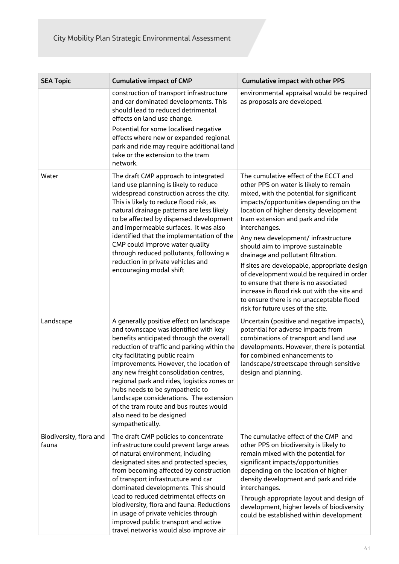| <b>SEA Topic</b>                 | <b>Cumulative impact of CMP</b>                                                                                                                                                                                                                                                                                                                                                                                                                                                                                           | <b>Cumulative impact with other PPS</b>                                                                                                                                                                                                                                                                                                                                                                                                                                                                                                                                                                                                                        |  |
|----------------------------------|---------------------------------------------------------------------------------------------------------------------------------------------------------------------------------------------------------------------------------------------------------------------------------------------------------------------------------------------------------------------------------------------------------------------------------------------------------------------------------------------------------------------------|----------------------------------------------------------------------------------------------------------------------------------------------------------------------------------------------------------------------------------------------------------------------------------------------------------------------------------------------------------------------------------------------------------------------------------------------------------------------------------------------------------------------------------------------------------------------------------------------------------------------------------------------------------------|--|
|                                  | construction of transport infrastructure<br>and car dominated developments. This<br>should lead to reduced detrimental<br>effects on land use change.<br>Potential for some localised negative<br>effects where new or expanded regional<br>park and ride may require additional land                                                                                                                                                                                                                                     | environmental appraisal would be required<br>as proposals are developed.                                                                                                                                                                                                                                                                                                                                                                                                                                                                                                                                                                                       |  |
|                                  | take or the extension to the tram<br>network.                                                                                                                                                                                                                                                                                                                                                                                                                                                                             |                                                                                                                                                                                                                                                                                                                                                                                                                                                                                                                                                                                                                                                                |  |
| Water                            | The draft CMP approach to integrated<br>land use planning is likely to reduce<br>widespread construction across the city.<br>This is likely to reduce flood risk, as<br>natural drainage patterns are less likely<br>to be affected by dispersed development<br>and impermeable surfaces. It was also<br>identified that the implementation of the<br>CMP could improve water quality<br>through reduced pollutants, following a<br>reduction in private vehicles and<br>encouraging modal shift                          | The cumulative effect of the ECCT and<br>other PPS on water is likely to remain<br>mixed, with the potential for significant<br>impacts/opportunities depending on the<br>location of higher density development<br>tram extension and park and ride<br>interchanges.<br>Any new development/ infrastructure<br>should aim to improve sustainable<br>drainage and pollutant filtration.<br>If sites are developable, appropriate design<br>of development would be required in order<br>to ensure that there is no associated<br>increase in flood risk out with the site and<br>to ensure there is no unacceptable flood<br>risk for future uses of the site. |  |
| Landscape                        | A generally positive effect on landscape<br>and townscape was identified with key<br>benefits anticipated through the overall<br>reduction of traffic and parking within the<br>city facilitating public realm<br>improvements. However, the location of<br>any new freight consolidation centres,<br>regional park and rides, logistics zones or<br>hubs needs to be sympathetic to<br>landscape considerations. The extension<br>of the tram route and bus routes would<br>also need to be designed<br>sympathetically. | Uncertain (positive and negative impacts),<br>potential for adverse impacts from<br>combinations of transport and land use<br>developments. However, there is potential<br>for combined enhancements to<br>landscape/streetscape through sensitive<br>design and planning.                                                                                                                                                                                                                                                                                                                                                                                     |  |
| Biodiversity, flora and<br>fauna | The draft CMP policies to concentrate<br>infrastructure could prevent large areas<br>of natural environment, including<br>designated sites and protected species,<br>from becoming affected by construction<br>of transport infrastructure and car<br>dominated developments. This should<br>lead to reduced detrimental effects on<br>biodiversity, flora and fauna. Reductions<br>in usage of private vehicles through<br>improved public transport and active<br>travel networks would also improve air                | The cumulative effect of the CMP and<br>other PPS on biodiversity is likely to<br>remain mixed with the potential for<br>significant impacts/opportunities<br>depending on the location of higher<br>density development and park and ride<br>interchanges.<br>Through appropriate layout and design of<br>development, higher levels of biodiversity<br>could be established within development                                                                                                                                                                                                                                                               |  |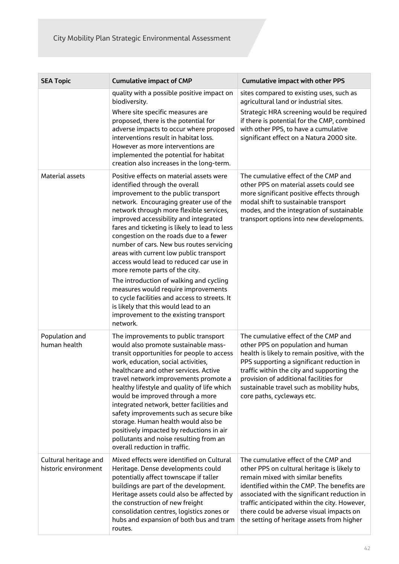| <b>SEA Topic</b>                              | <b>Cumulative impact of CMP</b>                                                                                                                                                                                                                                                                                                                                                                                                                                                                                                                                                                                                                                                                                                                 | <b>Cumulative impact with other PPS</b>                                                                                                                                                                                                                                                                                                                             |  |
|-----------------------------------------------|-------------------------------------------------------------------------------------------------------------------------------------------------------------------------------------------------------------------------------------------------------------------------------------------------------------------------------------------------------------------------------------------------------------------------------------------------------------------------------------------------------------------------------------------------------------------------------------------------------------------------------------------------------------------------------------------------------------------------------------------------|---------------------------------------------------------------------------------------------------------------------------------------------------------------------------------------------------------------------------------------------------------------------------------------------------------------------------------------------------------------------|--|
|                                               | quality with a possible positive impact on<br>biodiversity.<br>Where site specific measures are<br>proposed, there is the potential for<br>adverse impacts to occur where proposed<br>interventions result in habitat loss.<br>However as more interventions are<br>implemented the potential for habitat<br>creation also increases in the long-term.                                                                                                                                                                                                                                                                                                                                                                                          | sites compared to existing uses, such as<br>agricultural land or industrial sites.<br>Strategic HRA screening would be required<br>if there is potential for the CMP, combined<br>with other PPS, to have a cumulative<br>significant effect on a Natura 2000 site.                                                                                                 |  |
| Material assets                               | Positive effects on material assets were<br>identified through the overall<br>improvement to the public transport<br>network. Encouraging greater use of the<br>network through more flexible services,<br>improved accessibility and integrated<br>fares and ticketing is likely to lead to less<br>congestion on the roads due to a fewer<br>number of cars. New bus routes servicing<br>areas with current low public transport<br>access would lead to reduced car use in<br>more remote parts of the city.<br>The introduction of walking and cycling<br>measures would require improvements<br>to cycle facilities and access to streets. It<br>is likely that this would lead to an<br>improvement to the existing transport<br>network. | The cumulative effect of the CMP and<br>other PPS on material assets could see<br>more significant positive effects through<br>modal shift to sustainable transport<br>modes, and the integration of sustainable<br>transport options into new developments.                                                                                                        |  |
| Population and<br>human health                | The improvements to public transport<br>would also promote sustainable mass-<br>transit opportunities for people to access<br>work, education, social activities,<br>healthcare and other services. Active<br>travel network improvements promote a<br>healthy lifestyle and quality of life which<br>would be improved through a more<br>integrated network, better facilities and<br>safety improvements such as secure bike<br>storage. Human health would also be<br>positively impacted by reductions in air<br>pollutants and noise resulting from an<br>overall reduction in traffic.                                                                                                                                                    | The cumulative effect of the CMP and<br>other PPS on population and human<br>health is likely to remain positive, with the<br>PPS supporting a significant reduction in<br>traffic within the city and supporting the<br>provision of additional facilities for<br>sustainable travel such as mobility hubs,<br>core paths, cycleways etc.                          |  |
| Cultural heritage and<br>historic environment | Mixed effects were identified on Cultural<br>Heritage. Dense developments could<br>potentially affect townscape if taller<br>buildings are part of the development.<br>Heritage assets could also be affected by<br>the construction of new freight<br>consolidation centres, logistics zones or<br>hubs and expansion of both bus and tram<br>routes.                                                                                                                                                                                                                                                                                                                                                                                          | The cumulative effect of the CMP and<br>other PPS on cultural heritage is likely to<br>remain mixed with similar benefits<br>identified within the CMP. The benefits are<br>associated with the significant reduction in<br>traffic anticipated within the city. However,<br>there could be adverse visual impacts on<br>the setting of heritage assets from higher |  |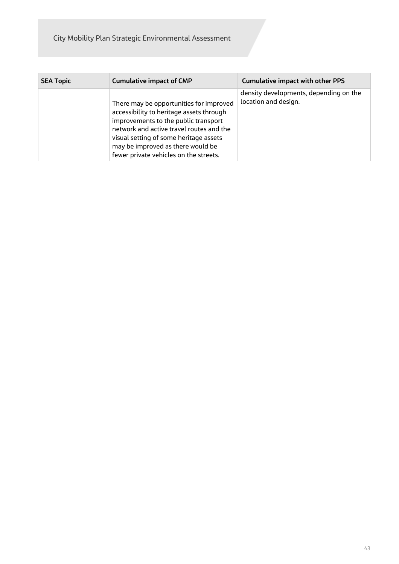City Mobility Plan Strategic Environmental Assessment

| <b>SEA Topic</b> | <b>Cumulative impact of CMP</b>                                                                                                                                                                                                                                                                  | <b>Cumulative impact with other PPS</b>                        |
|------------------|--------------------------------------------------------------------------------------------------------------------------------------------------------------------------------------------------------------------------------------------------------------------------------------------------|----------------------------------------------------------------|
|                  | There may be opportunities for improved<br>accessibility to heritage assets through<br>improvements to the public transport<br>network and active travel routes and the<br>visual setting of some heritage assets<br>may be improved as there would be<br>fewer private vehicles on the streets. | density developments, depending on the<br>location and design. |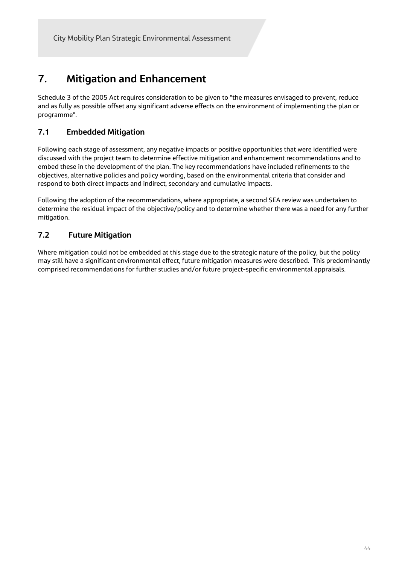## **7. Mitigation and Enhancement**

Schedule 3 of the 2005 Act requires consideration to be given to "the measures envisaged to prevent, reduce and as fully as possible offset any significant adverse effects on the environment of implementing the plan or programme".

## **7.1 Embedded Mitigation**

Following each stage of assessment, any negative impacts or positive opportunities that were identified were discussed with the project team to determine effective mitigation and enhancement recommendations and to embed these in the development of the plan. The key recommendations have included refinements to the objectives, alternative policies and policy wording, based on the environmental criteria that consider and respond to both direct impacts and indirect, secondary and cumulative impacts.

Following the adoption of the recommendations, where appropriate, a second SEA review was undertaken to determine the residual impact of the objective/policy and to determine whether there was a need for any further mitigation.

## **7.2 Future Mitigation**

Where mitigation could not be embedded at this stage due to the strategic nature of the policy, but the policy may still have a significant environmental effect, future mitigation measures were described. This predominantly comprised recommendations for further studies and/or future project-specific environmental appraisals.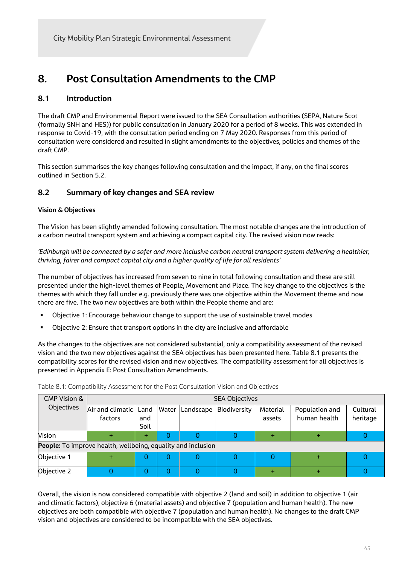## **8. Post Consultation Amendments to the CMP**

## **8.1 Introduction**

The draft CMP and Environmental Report were issued to the SEA Consultation authorities (SEPA, Nature Scot (formally SNH and HES)) for public consultation in January 2020 for a period of 8 weeks. This was extended in response to Covid-19, with the consultation period ending on 7 May 2020. Responses from this period of consultation were considered and resulted in slight amendments to the objectives, policies and themes of the draft CMP.

This section summarises the key changes following consultation and the impact, if any, on the final scores outlined in Section 5.2.

## **8.2 Summary of key changes and SEA review**

#### **Vision & Objectives**

The Vision has been slightly amended following consultation. The most notable changes are the introduction of a carbon neutral transport system and achieving a compact capital city. The revised vision now reads:

*'Edinburgh will be connected by a safer and more inclusive carbon neutral transport system delivering a healthier, thriving, fairer and compact capital city and a higher quality of life for all residents'*

The number of objectives has increased from seven to nine in total following consultation and these are still presented under the high-level themes of People, Movement and Place. The key change to the objectives is the themes with which they fall under e.g. previously there was one objective within the Movement theme and now there are five. The two new objectives are both within the People theme and are:

- Objective 1: Encourage behaviour change to support the use of sustainable travel modes
- Objective 2: Ensure that transport options in the city are inclusive and affordable

As the changes to the objectives are not considered substantial, only a compatibility assessment of the revised vision and the two new objectives against the SEA objectives has been presented here. Table 8.1 presents the compatibility scores for the revised vision and new objectives. The compatibility assessment for all objectives is presented in Appendix E: Post Consultation Amendments.

| <b>CMP Vision &amp;</b>                                      | <b>SEA Objectives</b>              |             |       |           |              |                    |                                |                      |
|--------------------------------------------------------------|------------------------------------|-------------|-------|-----------|--------------|--------------------|--------------------------------|----------------------|
| Objectives                                                   | Air and climatic   Land<br>factors | and<br>Soil | Water | Landscape | Biodiversity | Material<br>assets | Population and<br>human health | Cultural<br>heritage |
| Vision                                                       |                                    | ÷           |       |           |              |                    |                                |                      |
| People: To improve health, wellbeing, equality and inclusion |                                    |             |       |           |              |                    |                                |                      |
| Objective 1                                                  |                                    | U           |       |           |              |                    |                                |                      |
| Objective 2                                                  |                                    |             |       |           |              |                    |                                |                      |

Table 8.1: Compatibility Assessment for the Post Consultation Vision and Objectives

Overall, the vision is now considered compatible with objective 2 (land and soil) in addition to objective 1 (air and climatic factors), objective 6 (material assets) and objective 7 (population and human health). The new objectives are both compatible with objective 7 (population and human health). No changes to the draft CMP vision and objectives are considered to be incompatible with the SEA objectives.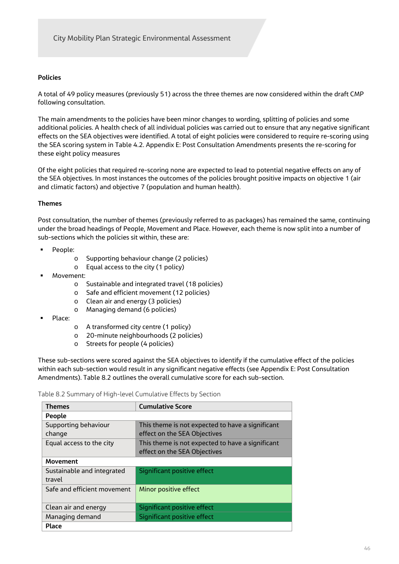#### **Policies**

A total of 49 policy measures (previously 51) across the three themes are now considered within the draft CMP following consultation.

The main amendments to the policies have been minor changes to wording, splitting of policies and some additional policies. A health check of all individual policies was carried out to ensure that any negative significant effects on the SEA objectives were identified. A total of eight policies were considered to require re-scoring using the SEA scoring system in Table 4.2. Appendix E: Post Consultation Amendments presents the re-scoring for these eight policy measures

Of the eight policies that required re-scoring none are expected to lead to potential negative effects on any of the SEA objectives. In most instances the outcomes of the policies brought positive impacts on objective 1 (air and climatic factors) and objective 7 (population and human health).

#### **Themes**

Post consultation, the number of themes (previously referred to as packages) has remained the same, continuing under the broad headings of People, Movement and Place. However, each theme is now split into a number of sub-sections which the policies sit within, these are:

- People:
	- o Supporting behaviour change (2 policies)
	- o Equal access to the city (1 policy)
- Movement:
	- o Sustainable and integrated travel (18 policies)
	- o Safe and efficient movement (12 policies)
	- o Clean air and energy (3 policies)
	- o Managing demand (6 policies)
- Place:
- o A transformed city centre (1 policy)
- o 20-minute neighbourhoods (2 policies)
- o Streets for people (4 policies)

These sub-sections were scored against the SEA objectives to identify if the cumulative effect of the policies within each sub-section would result in any significant negative effects (see Appendix E: Post Consultation Amendments). Table 8.2 outlines the overall cumulative score for each sub-section.

Table 8.2 Summary of High-level Cumulative Effects by Section

| <b>Themes</b>               | <b>Cumulative Score</b>                          |  |  |
|-----------------------------|--------------------------------------------------|--|--|
|                             |                                                  |  |  |
|                             | People                                           |  |  |
| Supporting behaviour        | This theme is not expected to have a significant |  |  |
| change                      | effect on the SEA Objectives                     |  |  |
|                             |                                                  |  |  |
| Equal access to the city    | This theme is not expected to have a significant |  |  |
|                             | effect on the SEA Objectives                     |  |  |
|                             |                                                  |  |  |
| <b>Movement</b>             |                                                  |  |  |
| Sustainable and integrated  | Significant positive effect                      |  |  |
| travel                      |                                                  |  |  |
|                             |                                                  |  |  |
| Safe and efficient movement | Minor positive effect                            |  |  |
|                             |                                                  |  |  |
|                             |                                                  |  |  |
| Clean air and energy        | Significant positive effect                      |  |  |
| Managing demand             | Significant positive effect                      |  |  |
|                             |                                                  |  |  |
| Place                       |                                                  |  |  |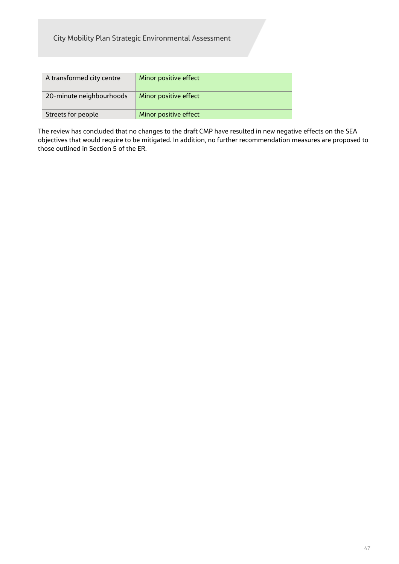| A transformed city centre | Minor positive effect |
|---------------------------|-----------------------|
| 20-minute neighbourhoods  | Minor positive effect |
| Streets for people        | Minor positive effect |

The review has concluded that no changes to the draft CMP have resulted in new negative effects on the SEA objectives that would require to be mitigated. In addition, no further recommendation measures are proposed to those outlined in Section 5 of the ER.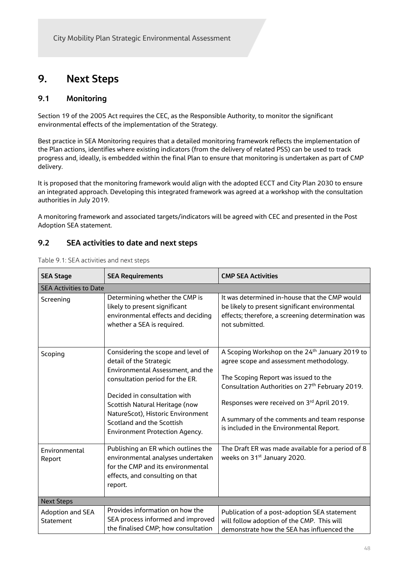## **9. Next Steps**

## **9.1 Monitoring**

Section 19 of the 2005 Act requires the CEC, as the Responsible Authority, to monitor the significant environmental effects of the implementation of the Strategy.

Best practice in SEA Monitoring requires that a detailed monitoring framework reflects the implementation of the Plan actions, identifies where existing indicators (from the delivery of related PSS) can be used to track progress and, ideally, is embedded within the final Plan to ensure that monitoring is undertaken as part of CMP delivery.

It is proposed that the monitoring framework would align with the adopted ECCT and City Plan 2030 to ensure an integrated approach. Developing this integrated framework was agreed at a workshop with the consultation authorities in July 2019.

A monitoring framework and associated targets/indicators will be agreed with CEC and presented in the Post Adoption SEA statement.

## **9.2 SEA activities to date and next steps**

| <b>SEA Stage</b>                     | <b>SEA Requirements</b>                                                                                                                                                                                                                                                                                            | <b>CMP SEA Activities</b>                                                                                                                                                                                                                                                                                                                             |  |  |
|--------------------------------------|--------------------------------------------------------------------------------------------------------------------------------------------------------------------------------------------------------------------------------------------------------------------------------------------------------------------|-------------------------------------------------------------------------------------------------------------------------------------------------------------------------------------------------------------------------------------------------------------------------------------------------------------------------------------------------------|--|--|
| <b>SEA Activities to Date</b>        |                                                                                                                                                                                                                                                                                                                    |                                                                                                                                                                                                                                                                                                                                                       |  |  |
| Screening                            | Determining whether the CMP is<br>likely to present significant<br>environmental effects and deciding<br>whether a SEA is required.                                                                                                                                                                                | It was determined in-house that the CMP would<br>be likely to present significant environmental<br>effects; therefore, a screening determination was<br>not submitted.                                                                                                                                                                                |  |  |
| Scoping                              | Considering the scope and level of<br>detail of the Strategic<br>Environmental Assessment, and the<br>consultation period for the ER.<br>Decided in consultation with<br>Scottish Natural Heritage (now<br>NatureScot), Historic Environment<br>Scotland and the Scottish<br><b>Environment Protection Agency.</b> | A Scoping Workshop on the 24 <sup>th</sup> January 2019 to<br>agree scope and assessment methodology.<br>The Scoping Report was issued to the<br>Consultation Authorities on 27 <sup>th</sup> February 2019.<br>Responses were received on 3rd April 2019.<br>A summary of the comments and team response<br>is included in the Environmental Report. |  |  |
| Environmental<br>Report              | Publishing an ER which outlines the<br>environmental analyses undertaken<br>for the CMP and its environmental<br>effects, and consulting on that<br>report.                                                                                                                                                        | The Draft ER was made available for a period of 8<br>weeks on 31 <sup>st</sup> January 2020.                                                                                                                                                                                                                                                          |  |  |
| <b>Next Steps</b>                    |                                                                                                                                                                                                                                                                                                                    |                                                                                                                                                                                                                                                                                                                                                       |  |  |
| <b>Adoption and SEA</b><br>Statement | Provides information on how the<br>SEA process informed and improved<br>the finalised CMP; how consultation                                                                                                                                                                                                        | Publication of a post-adoption SEA statement<br>will follow adoption of the CMP. This will<br>demonstrate how the SEA has influenced the                                                                                                                                                                                                              |  |  |

Table 9.1: SEA activities and next steps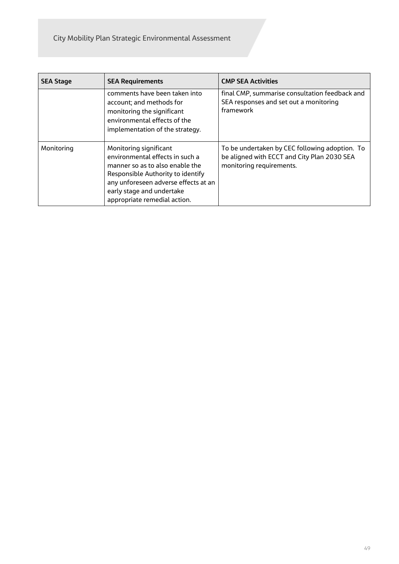| <b>SEA Stage</b> | <b>SEA Requirements</b>                                                                                                                                                                                                                | <b>CMP SEA Activities</b>                                                                                                 |  |
|------------------|----------------------------------------------------------------------------------------------------------------------------------------------------------------------------------------------------------------------------------------|---------------------------------------------------------------------------------------------------------------------------|--|
|                  | comments have been taken into<br>account; and methods for<br>monitoring the significant<br>environmental effects of the<br>implementation of the strategy.                                                                             | final CMP, summarise consultation feedback and<br>SEA responses and set out a monitoring<br>framework                     |  |
| Monitoring       | Monitoring significant<br>environmental effects in such a<br>manner so as to also enable the<br>Responsible Authority to identify<br>any unforeseen adverse effects at an<br>early stage and undertake<br>appropriate remedial action. | To be undertaken by CEC following adoption. To<br>be aligned with ECCT and City Plan 2030 SEA<br>monitoring requirements. |  |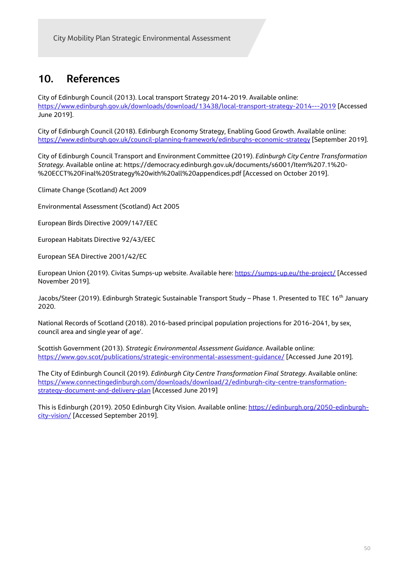## **10. References**

City of Edinburgh Council (2013). Local transport Strategy 2014-2019. Available online: https://www.edinburgh.gov.uk/downloads/download/13438/local-transport-strategy-2014---2019 [Accessed June 2019].

City of Edinburgh Council (2018). Edinburgh Economy Strategy, Enabling Good Growth. Available online: https://www.edinburgh.gov.uk/council-planning-framework/edinburghs-economic-strategy [September 2019].

City of Edinburgh Council Transport and Environment Committee (2019). *Edinburgh City Centre Transformation Strategy*. Available online at: https://democracy.edinburgh.gov.uk/documents/s6001/Item%207.1%20- %20ECCT%20Final%20Strategy%20with%20all%20appendices.pdf [Accessed on October 2019].

Climate Change (Scotland) Act 2009

Environmental Assessment (Scotland) Act 2005

European Birds Directive 2009/147/EEC

European Habitats Directive 92/43/EEC

European SEA Directive 2001/42/EC

European Union (2019). Civitas Sumps-up website. Available here: https://sumps-up.eu/the-project/ [Accessed November 2019].

Jacobs/Steer (2019). Edinburgh Strategic Sustainable Transport Study – Phase 1. Presented to TEC 16<sup>th</sup> January 2020.

National Records of Scotland (2018). 2016-based principal population projections for 2016-2041, by sex, council area and single year of age'.

Scottish Government (2013). *Strategic Environmental Assessment Guidance*. Available online: https://www.gov.scot/publications/strategic-environmental-assessment-guidance/ [Accessed June 2019].

The City of Edinburgh Council (2019). *Edinburgh City Centre Transformation Final Strategy*. Available online: https://www.connectingedinburgh.com/downloads/download/2/edinburgh-city-centre-transformationstrategy-document-and-delivery-plan [Accessed June 2019]

This is Edinburgh (2019). 2050 Edinburgh City Vision. Available online: https://edinburgh.org/2050-edinburghcity-vision/ [Accessed September 2019].